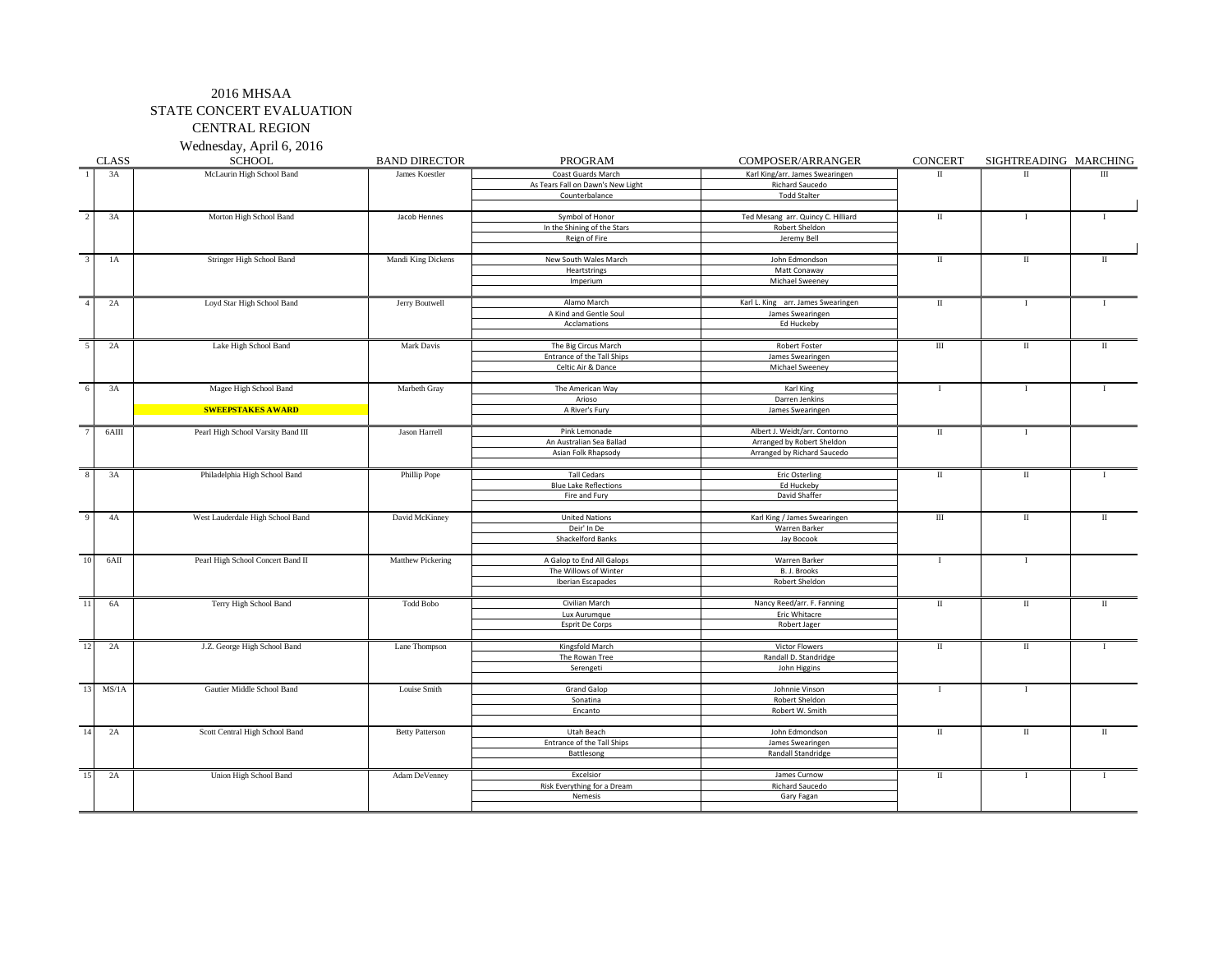Wednesday, April 6, 2016

|                         | <b>CLASS</b> | <b>SCHOOL</b>                      | <b>BAND DIRECTOR</b>   | <b>PROGRAM</b>                    | COMPOSER/ARRANGER                  | <b>CONCERT</b>       | SIGHTREADING MARCHING |              |
|-------------------------|--------------|------------------------------------|------------------------|-----------------------------------|------------------------------------|----------------------|-----------------------|--------------|
|                         | 3A           | McLaurin High School Band          | James Koestler         | Coast Guards March                | Karl King/arr. James Swearingen    | $\mathbf{u}$         | $_{\rm II}$           | III          |
|                         |              |                                    |                        | As Tears Fall on Dawn's New Light | Richard Saucedo                    |                      |                       |              |
|                         |              |                                    |                        | Counterbalance                    | <b>Todd Stalter</b>                |                      |                       |              |
|                         |              |                                    |                        |                                   |                                    |                      |                       |              |
| $\overline{2}$          | 3A           | Morton High School Band            | Jacob Hennes           | Symbol of Honor                   | Ted Mesang arr. Quincy C. Hilliard | $\scriptstyle\rm II$ | $\mathbf{I}$          |              |
|                         |              |                                    |                        | In the Shining of the Stars       | Robert Sheldon                     |                      |                       |              |
|                         |              |                                    |                        | Reign of Fire                     | Jeremy Bell                        |                      |                       |              |
|                         |              |                                    |                        |                                   |                                    |                      |                       |              |
| $\overline{\mathbf{3}}$ | 1A           | Stringer High School Band          | Mandi King Dickens     | New South Wales March             | John Edmondson                     | $\rm{II}$            | П                     | П            |
|                         |              |                                    |                        | Heartstrings                      | Matt Conaway                       |                      |                       |              |
|                         |              |                                    |                        | Imperium                          | Michael Sweeney                    |                      |                       |              |
|                         |              |                                    |                        |                                   |                                    |                      |                       |              |
|                         | 2A           | Loyd Star High School Band         | Jerry Boutwell         | Alamo March                       | Karl L. King arr. James Swearingen | $\scriptstyle\rm II$ | $\mathbf{I}$          |              |
|                         |              |                                    |                        | A Kind and Gentle Soul            | James Swearingen                   |                      |                       |              |
|                         |              |                                    |                        | Acclamations                      | Ed Huckeby                         |                      |                       |              |
|                         |              |                                    |                        |                                   |                                    |                      |                       |              |
| $\overline{5}$          | 2A           | Lake High School Band              | Mark Davis             | The Big Circus March              | Robert Foster                      | $\overline{m}$       | $\mathbf{I}$          | $\mathbf{I}$ |
|                         |              |                                    |                        | Entrance of the Tall Ships        | James Swearingen                   |                      |                       |              |
|                         |              |                                    |                        | Celtic Air & Dance                | Michael Sweeney                    |                      |                       |              |
| 6                       | 3A           | Magee High School Band             | Marbeth Gray           | The American Way                  | Karl King                          | $\mathbf{I}$         | T.                    |              |
|                         |              |                                    |                        | Arioso                            | Darren Jenkins                     |                      |                       |              |
|                         |              | <b>SWEEPSTAKES AWARD</b>           |                        | A River's Fury                    | James Swearingen                   |                      |                       |              |
|                         |              |                                    |                        |                                   |                                    |                      |                       |              |
|                         | $6$ AIII     | Pearl High School Varsity Band III | Jason Harrell          | Pink Lemonade                     | Albert J. Weidt/arr. Contorno      | $\scriptstyle\rm II$ | $\bf{I}$              |              |
|                         |              |                                    |                        | An Australian Sea Ballad          | Arranged by Robert Sheldon         |                      |                       |              |
|                         |              |                                    |                        | Asian Folk Rhapsody               | Arranged by Richard Saucedo        |                      |                       |              |
|                         |              |                                    |                        |                                   |                                    |                      |                       |              |
| $\overline{8}$          | 3A           | Philadelphia High School Band      | Phillip Pope           | <b>Tall Cedars</b>                | <b>Eric Osterling</b>              | $\mathbf{I}$         | П                     |              |
|                         |              |                                    |                        | <b>Blue Lake Reflections</b>      | Ed Huckeby                         |                      |                       |              |
|                         |              |                                    |                        | Fire and Fury                     | David Shaffer                      |                      |                       |              |
|                         |              |                                    |                        |                                   |                                    |                      |                       |              |
| $\alpha$                | 4A           | West Lauderdale High School Band   | David McKinney         | <b>United Nations</b>             | Karl King / James Swearingen       | $\mathbf{H}$         | $\rm II$              | П            |
|                         |              |                                    |                        | Deir' In De                       | Warren Barker                      |                      |                       |              |
|                         |              |                                    |                        | <b>Shackelford Banks</b>          | Jay Bocook                         |                      |                       |              |
|                         |              |                                    |                        |                                   |                                    |                      |                       |              |
| 10                      | 6AII         | Pearl High School Concert Band II  | Matthew Pickering      | A Galop to End All Galops         | Warren Barker                      | $\mathbf I$          | $\mathbf{I}$          |              |
|                         |              |                                    |                        | The Willows of Winter             | B. J. Brooks                       |                      |                       |              |
|                         |              |                                    |                        | Iberian Escapades                 | Robert Sheldon                     |                      |                       |              |
|                         |              |                                    |                        |                                   |                                    |                      |                       |              |
| 11                      | 6A           | Terry High School Band             | <b>Todd Bobo</b>       | Civilian March                    | Nancy Reed/arr. F. Fanning         | $\mathbf{I}$         | П                     | П            |
|                         |              |                                    |                        | Lux Aurumque                      | Eric Whitacre                      |                      |                       |              |
|                         |              |                                    |                        | Esprit De Corps                   | Robert Jager                       |                      |                       |              |
|                         |              |                                    |                        |                                   |                                    |                      |                       |              |
| 12                      | 2A           | J.Z. George High School Band       | Lane Thompson          | Kingsfold March                   | Victor Flowers                     | $\rm{II}$            | $\rm II$              |              |
|                         |              |                                    |                        | The Rowan Tree                    | Randall D. Standridge              |                      |                       |              |
|                         |              |                                    |                        | Serengeti                         | John Higgins                       |                      |                       |              |
| 13                      | MS/1A        | Gautier Middle School Band         | Louise Smith           | <b>Grand Galop</b>                | Johnnie Vinson                     | - 1                  | $\bf{I}$              |              |
|                         |              |                                    |                        | Sonatina                          | Robert Sheldon                     |                      |                       |              |
|                         |              |                                    |                        | Encanto                           | Robert W. Smith                    |                      |                       |              |
|                         |              |                                    |                        |                                   |                                    |                      |                       |              |
| 14                      | 2A           | Scott Central High School Band     | <b>Betty Patterson</b> | Utah Beach                        | John Edmondson                     | $\rm{II}$            | $\;$ II               | $\;$ II      |
|                         |              |                                    |                        | Entrance of the Tall Ships        | James Swearingen                   |                      |                       |              |
|                         |              |                                    |                        | Battlesong                        | Randall Standridge                 |                      |                       |              |
|                         |              |                                    |                        |                                   |                                    |                      |                       |              |
| 15                      | 2A           | Union High School Band             | Adam DeVenney          | Excelsior                         | James Curnow                       | $\mathbf{I}$         |                       | T.           |
|                         |              |                                    |                        | Risk Everything for a Dream       | Richard Saucedo                    |                      |                       |              |
|                         |              |                                    |                        | Nemesis                           | Gary Fagan                         |                      |                       |              |
|                         |              |                                    |                        |                                   |                                    |                      |                       |              |
|                         |              |                                    |                        |                                   |                                    |                      |                       |              |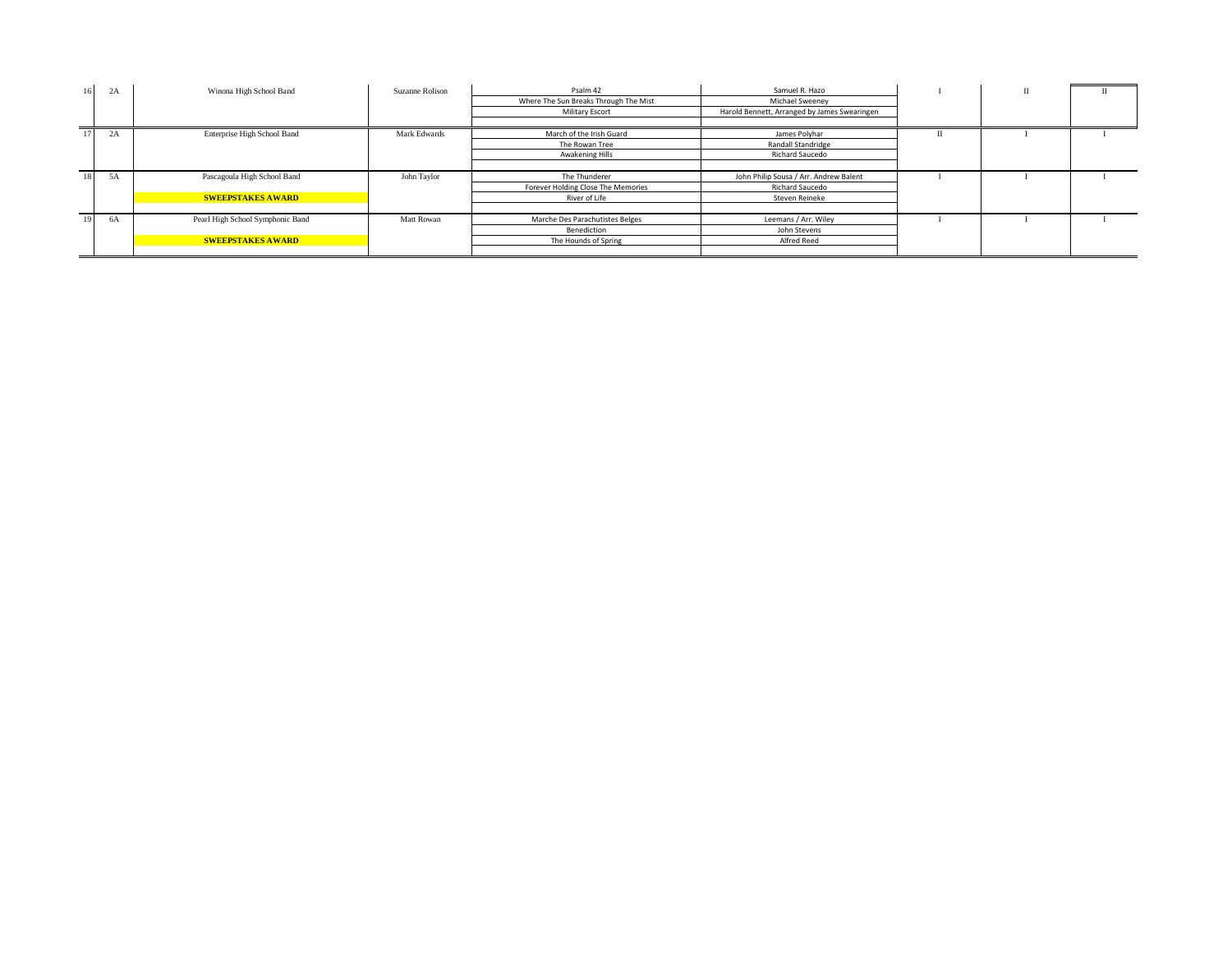|    | $\sim$<br>2A | Winona High School Band          | Suzanne Rolison | Psalm 42                              | Samuel R. Hazo                               | $\mathbf{I}$ |  |
|----|--------------|----------------------------------|-----------------|---------------------------------------|----------------------------------------------|--------------|--|
|    |              |                                  |                 | Where The Sun Breaks Through The Mist | Michael Sweeney                              |              |  |
|    |              |                                  |                 | Military Escort                       | Harold Bennett, Arranged by James Swearingen |              |  |
|    |              |                                  |                 |                                       |                                              |              |  |
|    | $\sim$<br>2A | Enterprise High School Band      | Mark Edwards    | March of the Irish Guard              | James Polyhar                                |              |  |
|    |              |                                  |                 | The Rowan Tree                        | Randall Standridge                           |              |  |
|    |              |                                  |                 | Awakening Hills                       | Richard Saucedo                              |              |  |
|    |              |                                  |                 |                                       |                                              |              |  |
|    |              |                                  |                 |                                       |                                              |              |  |
| 18 | 5A           | Pascagoula High School Band      | John Taylor     | The Thunderer                         | John Philip Sousa / Arr. Andrew Balent       |              |  |
|    |              |                                  |                 | Forever Holding Close The Memories    | Richard Saucedo                              |              |  |
|    |              | <b>SWEEPSTAKES AWARD</b>         |                 | River of Life                         | Steven Reineke                               |              |  |
|    |              |                                  |                 |                                       |                                              |              |  |
|    | 6A           | Pearl High School Symphonic Band | Matt Rowan      | Marche Des Parachutistes Belges       | Leemans / Arr. Wiley                         |              |  |
|    |              |                                  |                 | Benediction                           | John Stevens                                 |              |  |
|    |              | <b>SWEEPSTAKES AWARD</b>         |                 | The Hounds of Spring                  | Alfred Reed                                  |              |  |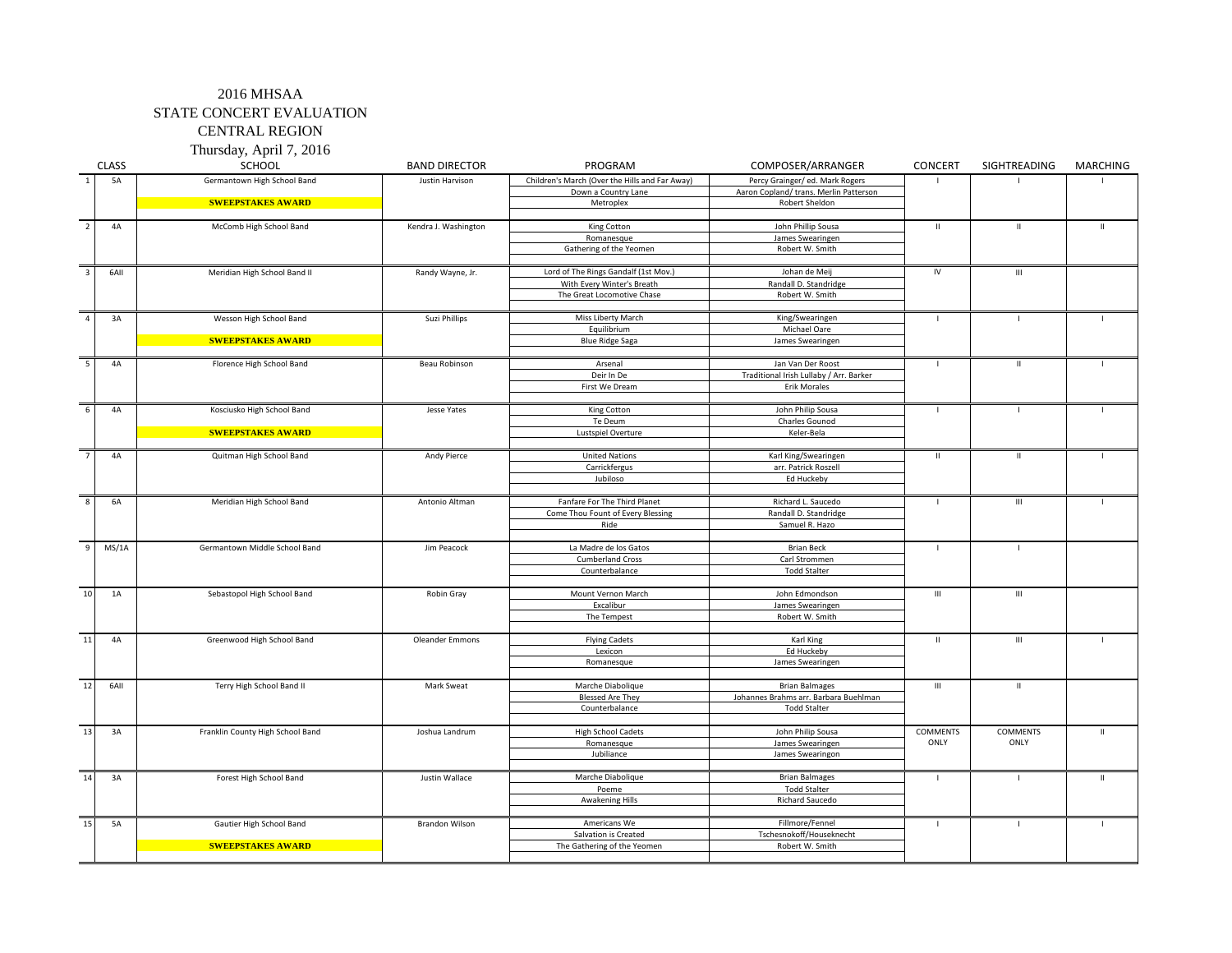Thursday, April 7, 2016

|                | <b>CLASS</b> | SCHOOL                           | <b>BAND DIRECTOR</b>   | PROGRAM                                        | COMPOSER/ARRANGER                           | CONCERT         | SIGHTREADING                       | <b>MARCHING</b> |
|----------------|--------------|----------------------------------|------------------------|------------------------------------------------|---------------------------------------------|-----------------|------------------------------------|-----------------|
| <sup>1</sup>   | <b>5A</b>    | Germantown High School Band      | Justin Harvison        | Children's March (Over the Hills and Far Away) | Percy Grainger/ ed. Mark Rogers             |                 | $\blacksquare$                     |                 |
|                |              |                                  |                        | Down a Country Lane                            | Aaron Copland/ trans. Merlin Patterson      |                 |                                    |                 |
|                |              | <b>SWEEPSTAKES AWARD</b>         |                        | Metroplex                                      | Robert Sheldon                              |                 |                                    |                 |
|                |              |                                  |                        |                                                |                                             |                 |                                    |                 |
| $\overline{2}$ | 4A           | McComb High School Band          | Kendra J. Washington   | King Cotton                                    | John Phillip Sousa                          | $\mathbf{H}$    | $\mathbf{II}$                      | $\mathbf{u}$    |
|                |              |                                  |                        | Romanesque                                     | James Swearingen                            |                 |                                    |                 |
|                |              |                                  |                        | Gathering of the Yeomen                        | Robert W. Smith                             |                 |                                    |                 |
|                |              |                                  |                        |                                                |                                             |                 |                                    |                 |
| $\overline{3}$ | 6AII         | Meridian High School Band II     | Randy Wayne, Jr.       | Lord of The Rings Gandalf (1st Mov.)           | Johan de Meii                               | IV              | Ш                                  |                 |
|                |              |                                  |                        | With Every Winter's Breath                     | Randall D. Standridge                       |                 |                                    |                 |
|                |              |                                  |                        | The Great Locomotive Chase                     | Robert W. Smith                             |                 |                                    |                 |
| $\overline{4}$ | 3A           | Wesson High School Band          | Suzi Phillips          | Miss Liberty March                             | King/Swearingen                             |                 | $\overline{1}$                     |                 |
|                |              |                                  |                        | Equilibrium                                    | Michael Oare                                |                 |                                    |                 |
|                |              | <b>SWEEPSTAKES AWARD</b>         |                        | <b>Blue Ridge Saga</b>                         | James Swearingen                            |                 |                                    |                 |
|                |              |                                  |                        |                                                |                                             |                 |                                    |                 |
| 5              | 4A           | Florence High School Band        | Beau Robinson          | Arsenal                                        | Jan Van Der Roost                           | -1              | $\mathbf{H}$                       |                 |
|                |              |                                  |                        | Deir In De                                     | Traditional Irish Lullaby / Arr. Barker     |                 |                                    |                 |
|                |              |                                  |                        | First We Dream                                 | <b>Erik Morales</b>                         |                 |                                    |                 |
|                |              |                                  |                        |                                                |                                             |                 |                                    |                 |
| 6              | 4A           | Kosciusko High School Band       | Jesse Yates            | King Cotton                                    | John Philip Sousa                           | $\blacksquare$  | $\mathbf{I}$                       | $\mathbf{I}$    |
|                |              |                                  |                        | Te Deum                                        | Charles Gounod                              |                 |                                    |                 |
|                |              | <b>SWEEPSTAKES AWARD</b>         |                        | Lustspiel Overture                             | Keler-Bela                                  |                 |                                    |                 |
|                |              |                                  |                        |                                                |                                             |                 |                                    |                 |
| -7             | 4A           | Quitman High School Band         | Andy Pierce            | <b>United Nations</b>                          | Karl King/Swearingen                        | $\mathbf{H}$    | $\mathbf{II}$                      | $\mathbf{I}$    |
|                |              |                                  |                        | Carrickfergus                                  | arr. Patrick Roszell                        |                 |                                    |                 |
|                |              |                                  |                        | Jubiloso                                       | Ed Huckeby                                  |                 |                                    |                 |
| 8              | <b>6A</b>    | Meridian High School Band        | Antonio Altman         | Fanfare For The Third Planet                   | Richard L. Saucedo                          | $\blacksquare$  | $\mathbf{III}$                     |                 |
|                |              |                                  |                        | Come Thou Fount of Every Blessing              | Randall D. Standridge                       |                 |                                    |                 |
|                |              |                                  |                        | Ride                                           | Samuel R. Hazo                              |                 |                                    |                 |
|                |              |                                  |                        |                                                |                                             |                 |                                    |                 |
| 9              | MS/1A        | Germantown Middle School Band    | Jim Peacock            | La Madre de los Gatos                          | <b>Brian Beck</b>                           |                 | $\mathbf{I}$                       |                 |
|                |              |                                  |                        | <b>Cumberland Cross</b>                        | Carl Strommen                               |                 |                                    |                 |
|                |              |                                  |                        | Counterbalance                                 | <b>Todd Stalter</b>                         |                 |                                    |                 |
|                |              |                                  |                        |                                                |                                             |                 |                                    |                 |
| 10             | 1A           | Sebastopol High School Band      | Robin Gray             | Mount Vernon March                             | John Edmondson                              | Ш               | $\ensuremath{\mathsf{III}}\xspace$ |                 |
|                |              |                                  |                        | Excalibur                                      | James Swearingen                            |                 |                                    |                 |
|                |              |                                  |                        | The Tempest                                    | Robert W. Smith                             |                 |                                    |                 |
|                |              |                                  |                        |                                                |                                             |                 |                                    |                 |
| 11             | 4A           | Greenwood High School Band       | <b>Oleander Emmons</b> | <b>Flying Cadets</b>                           | Karl King                                   | $\mathbf{H}$    | $\ensuremath{\mathsf{III}}\xspace$ |                 |
|                |              |                                  |                        | Lexicon                                        | Ed Huckeby                                  |                 |                                    |                 |
|                |              |                                  |                        | Romanesque                                     | James Swearingen                            |                 |                                    |                 |
| 12             | 6AII         | Terry High School Band II        | Mark Sweat             | Marche Diabolique                              | <b>Brian Balmages</b>                       | Ш               | $\mathbf{II}$                      |                 |
|                |              |                                  |                        | <b>Blessed Are They</b>                        | Johannes Brahms arr. Barbara Buehlman       |                 |                                    |                 |
|                |              |                                  |                        | Counterbalance                                 | <b>Todd Stalter</b>                         |                 |                                    |                 |
|                |              |                                  |                        |                                                |                                             |                 |                                    |                 |
| 13             | 3A           | Franklin County High School Band | Joshua Landrum         | <b>High School Cadets</b>                      | John Philip Sousa                           | <b>COMMENTS</b> | <b>COMMENTS</b>                    | $\mathbf{H}$    |
|                |              |                                  |                        | Romanesque                                     | James Swearingen                            | ONLY            | ONLY                               |                 |
|                |              |                                  |                        | Jubiliance                                     | James Swearingon                            |                 |                                    |                 |
|                |              |                                  |                        |                                                |                                             |                 |                                    |                 |
| 14             | 3A           | Forest High School Band          | Justin Wallace         | Marche Diabolique                              | <b>Brian Balmages</b>                       |                 | $\mathbf{I}$                       | $\mathbf{I}$    |
|                |              |                                  |                        | Poeme                                          | <b>Todd Stalter</b>                         |                 |                                    |                 |
|                |              |                                  |                        | <b>Awakening Hills</b>                         | Richard Saucedo                             |                 |                                    |                 |
|                |              |                                  |                        |                                                |                                             |                 |                                    |                 |
| 15             | 5A           | Gautier High School Band         | <b>Brandon Wilson</b>  | Americans We                                   | Fillmore/Fennel                             | -1              | $\mathbf{I}$                       | $\blacksquare$  |
|                |              |                                  |                        | Salvation is Created                           | Tschesnokoff/Houseknecht<br>Robert W. Smith |                 |                                    |                 |
|                |              | <b>SWEEPSTAKES AWARD</b>         |                        | The Gathering of the Yeomen                    |                                             |                 |                                    |                 |
|                |              |                                  |                        |                                                |                                             |                 |                                    |                 |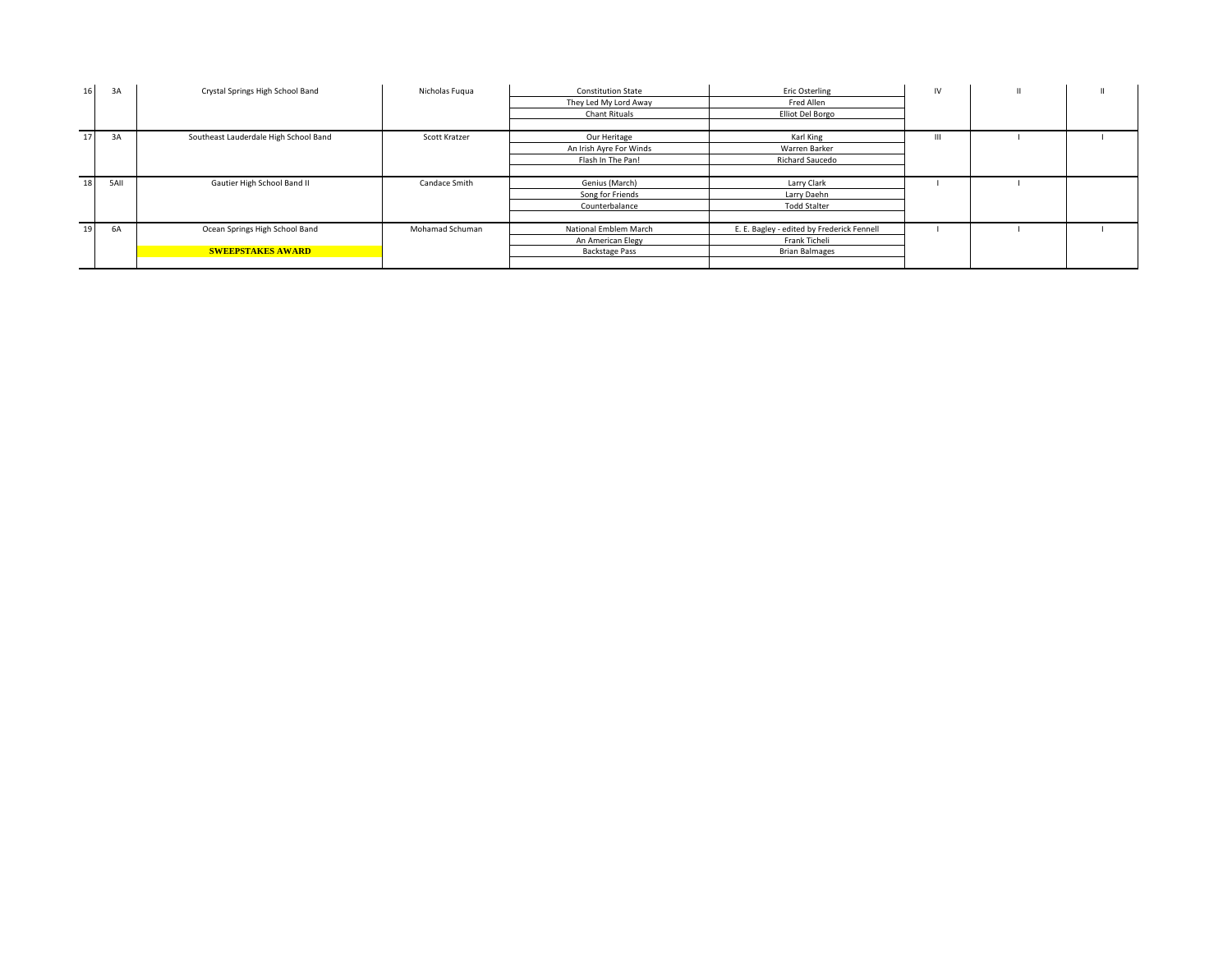| 16 | 3A   | Crystal Springs High School Band      | Nicholas Fugua  | <b>Constitution State</b> | <b>Eric Osterling</b>                      | IV |  |
|----|------|---------------------------------------|-----------------|---------------------------|--------------------------------------------|----|--|
|    |      |                                       |                 | They Led My Lord Away     | Fred Allen                                 |    |  |
|    |      |                                       |                 | <b>Chant Rituals</b>      | Elliot Del Borgo                           |    |  |
|    |      |                                       |                 |                           |                                            |    |  |
| 17 | 3A   | Southeast Lauderdale High School Band | Scott Kratzer   | Our Heritage              | Karl King                                  | Ш  |  |
|    |      |                                       |                 | An Irish Ayre For Winds   | Warren Barker                              |    |  |
|    |      |                                       |                 | Flash In The Pan!         | Richard Saucedo                            |    |  |
|    |      |                                       |                 |                           |                                            |    |  |
| 18 | 5AII | Gautier High School Band II           | Candace Smith   | Genius (March)            | Larry Clark                                |    |  |
|    |      |                                       |                 | Song for Friends          | Larry Daehn                                |    |  |
|    |      |                                       |                 | Counterbalance            | <b>Todd Stalter</b>                        |    |  |
|    |      |                                       |                 |                           |                                            |    |  |
| 19 | 6A   | Ocean Springs High School Band        | Mohamad Schuman | National Emblem March     | E. E. Bagley - edited by Frederick Fennell |    |  |
|    |      |                                       |                 | An American Elegy         | Frank Ticheli                              |    |  |
|    |      | <b>SWEEPSTAKES AWARD</b>              |                 | <b>Backstage Pass</b>     | <b>Brian Balmages</b>                      |    |  |
|    |      |                                       |                 |                           |                                            |    |  |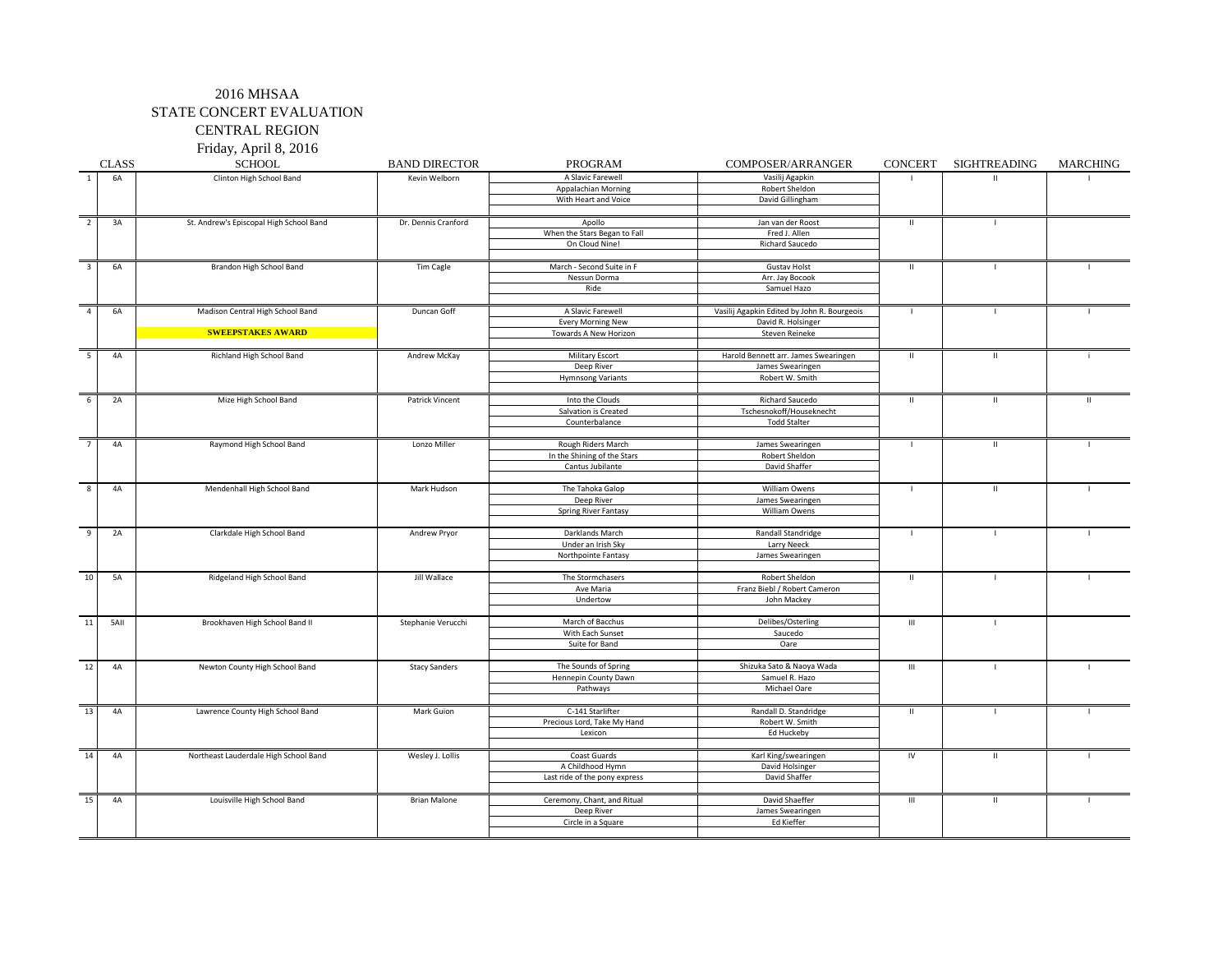Friday, April 8, 2016

|                         | <b>CLASS</b> | <b>SCHOOL</b>                           | <b>BAND DIRECTOR</b> | PROGRAM                       | COMPOSER/ARRANGER                           |                    | CONCERT SIGHTREADING | <b>MARCHING</b> |
|-------------------------|--------------|-----------------------------------------|----------------------|-------------------------------|---------------------------------------------|--------------------|----------------------|-----------------|
|                         | 6A           | Clinton High School Band                | Kevin Welborn        | A Slavic Farewell             | Vasilij Agapkin                             |                    |                      |                 |
|                         |              |                                         |                      | Appalachian Morning           | Robert Sheldon                              |                    |                      |                 |
|                         |              |                                         |                      | With Heart and Voice          | David Gillingham                            |                    |                      |                 |
|                         |              |                                         |                      |                               |                                             |                    |                      |                 |
| $\overline{2}$          | 3A           | St. Andrew's Episcopal High School Band | Dr. Dennis Cranford  | Apollo                        | Jan van der Roost                           | $\mathbf{H}$       | $\mathbf{I}$         |                 |
|                         |              |                                         |                      | When the Stars Began to Fall  | Fred J. Allen                               |                    |                      |                 |
|                         |              |                                         |                      | On Cloud Nine!                | Richard Saucedo                             |                    |                      |                 |
|                         |              |                                         |                      |                               |                                             |                    |                      |                 |
| $\overline{\mathbf{3}}$ | 6A           | Brandon High School Band                | Tim Cagle            | March - Second Suite in F     | <b>Gustav Holst</b>                         | $\mathbf{H}$       | $\mathbf{I}$         |                 |
|                         |              |                                         |                      | Nessun Dorma                  | Arr. Jay Bocook                             |                    |                      |                 |
|                         |              |                                         |                      | Ride                          | Samuel Hazo                                 |                    |                      |                 |
|                         |              |                                         |                      |                               |                                             |                    |                      |                 |
| $\overline{4}$          | 6A           | Madison Central High School Band        | Duncan Goff          | A Slavic Farewell             | Vasilij Agapkin Edited by John R. Bourgeois | $\mathbf{I}$       |                      | $\blacksquare$  |
|                         |              |                                         |                      | <b>Every Morning New</b>      | David R. Holsinger                          |                    |                      |                 |
|                         |              | <b>SWEEPSTAKES AWARD</b>                |                      | Towards A New Horizon         | Steven Reineke                              |                    |                      |                 |
|                         |              |                                         |                      |                               |                                             |                    |                      |                 |
| 5                       | 4A           | Richland High School Band               | Andrew McKay         | <b>Military Escort</b>        | Harold Bennett arr. James Swearingen        | $\mathbf{H}$       | $\mathbf{H}$         |                 |
|                         |              |                                         |                      | Deep River                    | James Swearingen                            |                    |                      |                 |
|                         |              |                                         |                      | <b>Hymnsong Variants</b>      | Robert W. Smith                             |                    |                      |                 |
|                         |              |                                         |                      |                               |                                             |                    |                      |                 |
| 6                       | 2A           | Mize High School Band                   | Patrick Vincent      | Into the Clouds               | Richard Saucedo                             | $\mathbf{H}$       | $\mathbf{H}$         | $\mathbf{H}$    |
|                         |              |                                         |                      | Salvation is Created          | Tschesnokoff/Houseknecht                    |                    |                      |                 |
|                         |              |                                         |                      | Counterbalance                | <b>Todd Stalter</b>                         |                    |                      |                 |
| $\overline{7}$          | 4A           |                                         |                      | Rough Riders March            |                                             | $\mathbf{I}$       | $\mathbf{H}$         |                 |
|                         |              | Raymond High School Band                | Lonzo Miller         | In the Shining of the Stars   | James Swearingen<br>Robert Sheldon          |                    |                      |                 |
|                         |              |                                         |                      | Cantus Jubilante              | David Shaffer                               |                    |                      |                 |
|                         |              |                                         |                      |                               |                                             |                    |                      |                 |
| 8                       | 4A           | Mendenhall High School Band             | Mark Hudson          | The Tahoka Galop              | <b>William Owens</b>                        | $\mathbf{I}$       | $\,$ H $\,$          | $\mathbf{I}$    |
|                         |              |                                         |                      | Deep River                    | James Swearingen                            |                    |                      |                 |
|                         |              |                                         |                      | <b>Spring River Fantasy</b>   | William Owens                               |                    |                      |                 |
|                         |              |                                         |                      |                               |                                             |                    |                      |                 |
| 9                       | 2A           | Clarkdale High School Band              | Andrew Pryor         | Darklands March               | Randall Standridge                          | $\blacksquare$     | $\mathbf{I}$         | $\blacksquare$  |
|                         |              |                                         |                      | Under an Irish Sky            | Larry Neeck                                 |                    |                      |                 |
|                         |              |                                         |                      | Northpointe Fantasy           | James Swearingen                            |                    |                      |                 |
|                         |              |                                         |                      |                               |                                             |                    |                      |                 |
| 10                      | <b>5A</b>    | Ridgeland High School Band              | Jill Wallace         | The Stormchasers              | <b>Robert Sheldon</b>                       | $\mathbf{I}$       | $\mathbf{I}$         |                 |
|                         |              |                                         |                      | Ave Maria                     | Franz Biebl / Robert Cameron                |                    |                      |                 |
|                         |              |                                         |                      | Undertow                      | John Mackey                                 |                    |                      |                 |
|                         |              |                                         |                      |                               |                                             |                    |                      |                 |
| 11                      | 5AII         | Brookhaven High School Band II          | Stephanie Verucchi   | March of Bacchus              | Delibes/Osterling                           | $\mathop{\rm III}$ | $\mathbf{I}$         |                 |
|                         |              |                                         |                      | With Each Sunset              | Saucedo                                     |                    |                      |                 |
|                         |              |                                         |                      | Suite for Band                | Oare                                        |                    |                      |                 |
|                         |              |                                         |                      |                               |                                             |                    |                      |                 |
| 12                      | 4A           | Newton County High School Band          | <b>Stacy Sanders</b> | The Sounds of Spring          | Shizuka Sato & Naoya Wada                   | $\mathbf{III}$     |                      | п.              |
|                         |              |                                         |                      | Hennepin County Dawn          | Samuel R. Hazo                              |                    |                      |                 |
|                         |              |                                         |                      | Pathways                      | Michael Oare                                |                    |                      |                 |
|                         |              |                                         |                      |                               |                                             |                    |                      |                 |
| 13                      | 4A           | Lawrence County High School Band        | Mark Guion           | C-141 Starlifter              | Randall D. Standridge                       | $\mathbf{H}$       |                      |                 |
|                         |              |                                         |                      | Precious Lord, Take My Hand   | Robert W. Smith                             |                    |                      |                 |
|                         |              |                                         |                      | Lexicon                       | Ed Huckeby                                  |                    |                      |                 |
|                         |              |                                         |                      |                               |                                             |                    |                      |                 |
| 14                      | 4A           | Northeast Lauderdale High School Band   | Wesley J. Lollis     | Coast Guards                  | Karl King/swearingen                        | IV                 | $\mathbf{H}$         |                 |
|                         |              |                                         |                      | A Childhood Hymn              | David Holsinger                             |                    |                      |                 |
|                         |              |                                         |                      | Last ride of the pony express | David Shaffer                               |                    |                      |                 |
|                         |              |                                         |                      |                               |                                             |                    |                      |                 |
| 15                      | 4A           | Louisville High School Band             | <b>Brian Malone</b>  | Ceremony, Chant, and Ritual   | David Shaeffer                              | $\mathbf{III}$     | $\mathbf{H}$         | $\mathbf{I}$    |
|                         |              |                                         |                      | Deep River                    | James Swearingen                            |                    |                      |                 |
|                         |              |                                         |                      | Circle in a Square            | Ed Kieffer                                  |                    |                      |                 |
|                         |              |                                         |                      |                               |                                             |                    |                      |                 |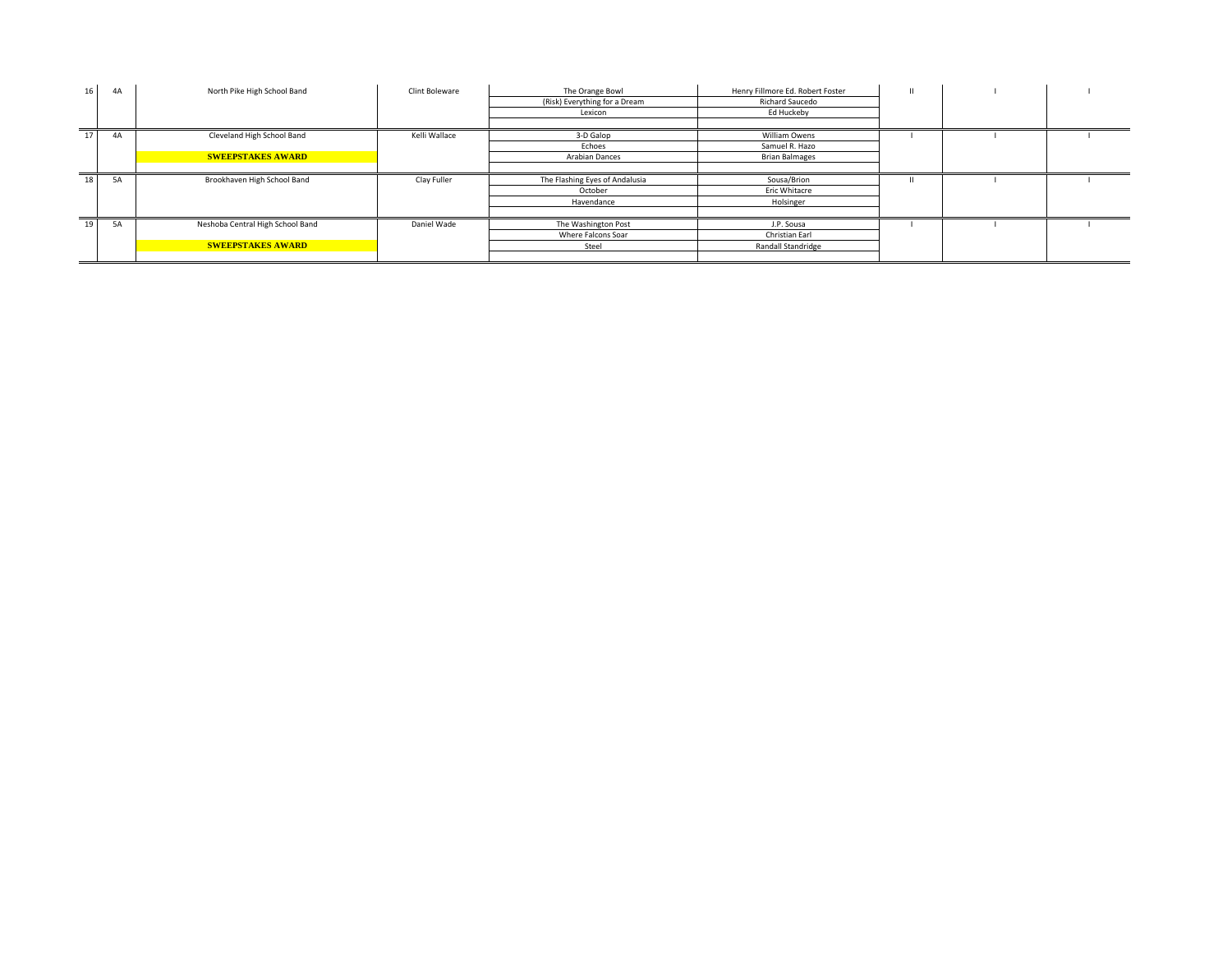| 16 | 4A | North Pike High School Band      | Clint Boleware | The Orange Bowl                | Henry Fillmore Ed. Robert Foster |  |  |
|----|----|----------------------------------|----------------|--------------------------------|----------------------------------|--|--|
|    |    |                                  |                | (Risk) Everything for a Dream  | <b>Richard Saucedo</b>           |  |  |
|    |    |                                  |                | Lexicon                        | Ed Huckeby                       |  |  |
|    |    |                                  |                |                                |                                  |  |  |
| 17 | 4A | Cleveland High School Band       | Kelli Wallace  | 3-D Galop                      | William Owens                    |  |  |
|    |    |                                  |                | Echoes                         | Samuel R. Hazo                   |  |  |
|    |    | <b>SWEEPSTAKES AWARD</b>         |                | <b>Arabian Dances</b>          | <b>Brian Balmages</b>            |  |  |
|    |    |                                  |                |                                |                                  |  |  |
| 18 | 5A | Brookhaven High School Band      | Clay Fuller    | The Flashing Eyes of Andalusia | Sousa/Brion                      |  |  |
|    |    |                                  |                | October                        | Eric Whitacre                    |  |  |
|    |    |                                  |                | Havendance                     | Holsinger                        |  |  |
|    |    |                                  |                |                                |                                  |  |  |
| 19 | 5A | Neshoba Central High School Band | Daniel Wade    | The Washington Post            | J.P. Sousa                       |  |  |
|    |    |                                  |                | Where Falcons Soar             | Christian Earl                   |  |  |
|    |    | <b>SWEEPSTAKES AWARD</b>         |                | Steel                          | Randall Standridge               |  |  |
|    |    |                                  |                |                                |                                  |  |  |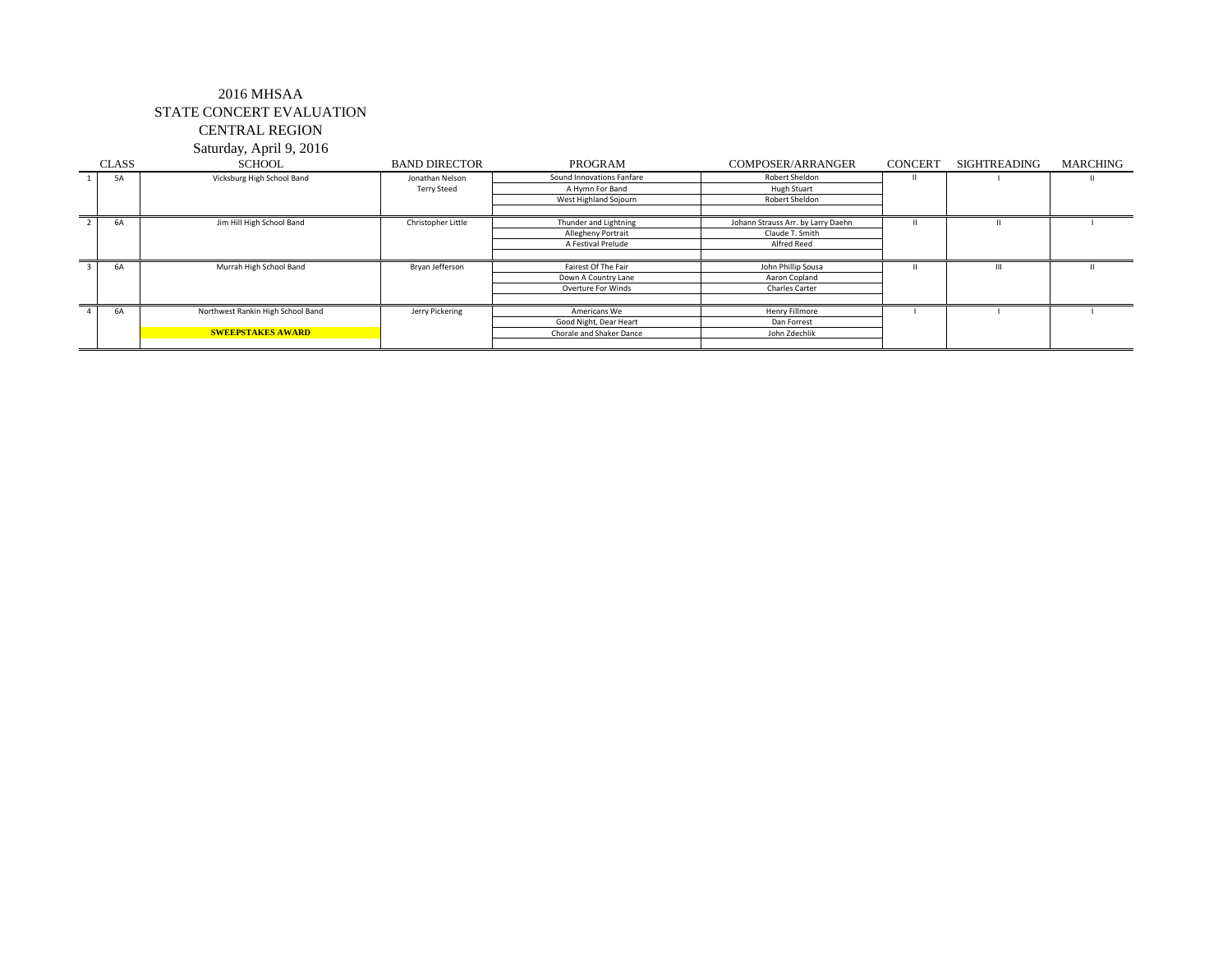Saturday, April 9, 2016

| <b>CLASS</b> | <b>SCHOOL</b>                     | <b>BAND DIRECTOR</b> | PROGRAM                   | COMPOSER/ARRANGER                  | <b>CONCERT</b> | <b>SIGHTREADING</b> | MARCHING |
|--------------|-----------------------------------|----------------------|---------------------------|------------------------------------|----------------|---------------------|----------|
| <b>5A</b>    | Vicksburg High School Band        | Jonathan Nelson      | Sound Innovations Fanfare | Robert Sheldon                     |                |                     |          |
|              |                                   | <b>Terry Steed</b>   | A Hymn For Band           | <b>Hugh Stuart</b>                 |                |                     |          |
|              |                                   |                      | West Highland Sojourn     | Robert Sheldon                     |                |                     |          |
|              |                                   |                      |                           |                                    |                |                     |          |
| 6A           | Jim Hill High School Band         | Christopher Little   | Thunder and Lightning     | Johann Strauss Arr. by Larry Daehn |                |                     |          |
|              |                                   |                      | <b>Allegheny Portrait</b> | Claude T. Smith                    |                |                     |          |
|              |                                   |                      | A Festival Prelude        | Alfred Reed                        |                |                     |          |
|              |                                   |                      |                           |                                    |                |                     |          |
| <b>6A</b>    | Murrah High School Band           | Bryan Jefferson      | Fairest Of The Fair       | John Phillip Sousa                 |                |                     |          |
|              |                                   |                      | Down A Country Lane       | Aaron Copland                      |                |                     |          |
|              |                                   |                      | Overture For Winds        | <b>Charles Carter</b>              |                |                     |          |
|              |                                   |                      |                           |                                    |                |                     |          |
| 6A           | Northwest Rankin High School Band | Jerry Pickering      | Americans We              | Henry Fillmore                     |                |                     |          |
|              |                                   |                      | Good Night, Dear Heart    | Dan Forrest                        |                |                     |          |
|              | <b>SWEEPSTAKES AWARD</b>          |                      | Chorale and Shaker Dance  | John Zdechlik                      |                |                     |          |
|              |                                   |                      |                           |                                    |                |                     |          |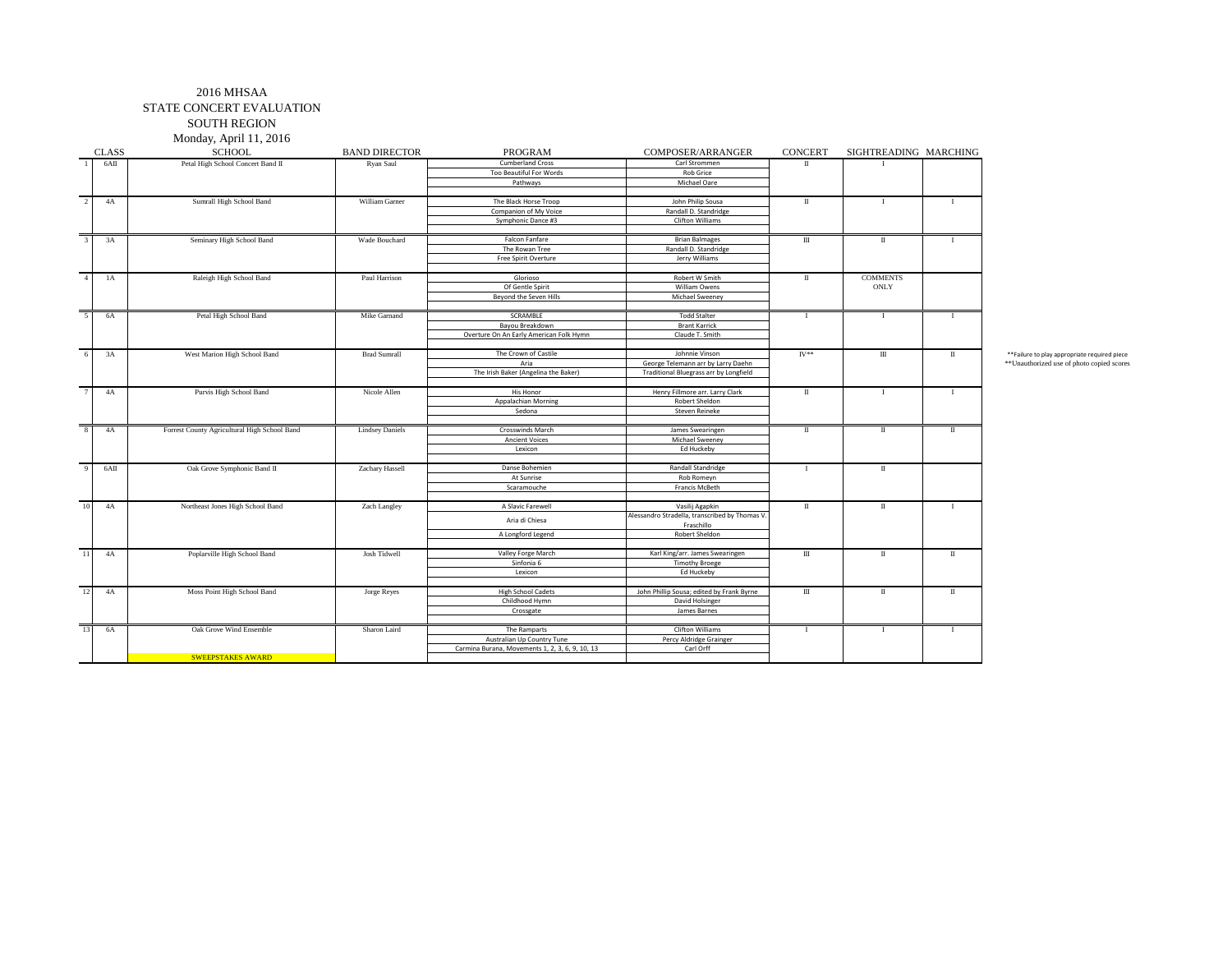#### 2016 MHSAA STATE CONCERT EVALUATION SOUTH REGION

Monday, April 11, 2016

|                         |              | Monday, April 11, 2016                       |                        |                                                                               |                                                                   |                  |                       |                      |                                               |
|-------------------------|--------------|----------------------------------------------|------------------------|-------------------------------------------------------------------------------|-------------------------------------------------------------------|------------------|-----------------------|----------------------|-----------------------------------------------|
|                         | <b>CLASS</b> | <b>SCHOOL</b>                                | <b>BAND DIRECTOR</b>   | <b>PROGRAM</b>                                                                | COMPOSER/ARRANGER                                                 | <b>CONCERT</b>   | SIGHTREADING MARCHING |                      |                                               |
|                         | 6AII         | Petal High School Concert Band II            | Ryan Saul              | <b>Cumberland Cross</b>                                                       | Carl Strommen                                                     | $\mathbf{u}$     |                       |                      |                                               |
|                         |              |                                              |                        | Too Beautiful For Words                                                       | <b>Rob Grice</b>                                                  |                  |                       |                      |                                               |
|                         |              |                                              |                        | Pathways                                                                      | Michael Oare                                                      |                  |                       |                      |                                               |
|                         |              |                                              |                        |                                                                               |                                                                   |                  |                       |                      |                                               |
| $\overline{2}$          | 4A           | Sumrall High School Band                     | William Garner         | The Black Horse Troop                                                         | John Philip Sousa                                                 | $\mathbf{u}$     |                       | $\mathbf{I}$         |                                               |
|                         |              |                                              |                        | Companion of My Voice                                                         | Randall D. Standridge                                             |                  |                       |                      |                                               |
|                         |              |                                              |                        | Symphonic Dance #3                                                            | Clifton Williams                                                  |                  |                       |                      |                                               |
|                         |              |                                              |                        |                                                                               |                                                                   |                  |                       |                      |                                               |
| $\mathcal{R}$           | 3A           | Seminary High School Band                    | Wade Bouchard          | Falcon Fanfare                                                                | <b>Brian Balmages</b>                                             | $\mathbf{m}$     | $\mathbf{u}$          | $\mathbf{I}$         |                                               |
|                         |              |                                              |                        | The Rowan Tree<br>Free Spirit Overture                                        | Randall D. Standridge<br>Jerry Williams                           |                  |                       |                      |                                               |
|                         |              |                                              |                        |                                                                               |                                                                   |                  |                       |                      |                                               |
| $\overline{4}$          | 1A           | Raleigh High School Band                     | Paul Harrison          | Glorioso                                                                      | Robert W Smith                                                    | П                | <b>COMMENTS</b>       |                      |                                               |
|                         |              |                                              |                        | Of Gentle Spirit                                                              | William Owens                                                     |                  | ONLY                  |                      |                                               |
|                         |              |                                              |                        | Beyond the Seven Hills                                                        | Michael Sweeney                                                   |                  |                       |                      |                                               |
|                         |              |                                              |                        |                                                                               |                                                                   |                  |                       |                      |                                               |
| 5                       | 6A           | Petal High School Band                       | Mike Garnand           | SCRAMBLE                                                                      | <b>Todd Stalter</b>                                               | $\mathbf{I}$     | $\mathbf{I}$          | $\mathbf{I}$         |                                               |
|                         |              |                                              |                        | Bayou Breakdown                                                               | <b>Brant Karrick</b>                                              |                  |                       |                      |                                               |
|                         |              |                                              |                        | Overture On An Early American Folk Hymn                                       | Claude T. Smith                                                   |                  |                       |                      |                                               |
|                         |              |                                              |                        |                                                                               |                                                                   |                  |                       |                      |                                               |
| 6                       | 3A           | West Marion High School Band                 | <b>Brad Sumrall</b>    | The Crown of Castile                                                          | Johnnie Vinson                                                    | $I V^{\ast\ast}$ | $\rm III$             | $\scriptstyle\rm II$ | ** Failure to play appropriate required piece |
|                         |              |                                              |                        | Aria                                                                          | George Telemann arr by Larry Daehn                                |                  |                       |                      | ** Unauthorized use of photo copied score     |
|                         |              |                                              |                        | The Irish Baker (Angelina the Baker)                                          | Traditional Bluegrass arr by Longfield                            |                  |                       |                      |                                               |
|                         | 4A           |                                              | Nicole Allen           | His Honor                                                                     | Henry Fillmore arr. Larry Clark                                   | $\mathbf{I}$     | $\mathbf{I}$          | $\mathbf{I}$         |                                               |
|                         |              | Purvis High School Band                      |                        | Appalachian Morning                                                           | Robert Sheldon                                                    |                  |                       |                      |                                               |
|                         |              |                                              |                        | Sedona                                                                        | Steven Reineke                                                    |                  |                       |                      |                                               |
|                         |              |                                              |                        |                                                                               |                                                                   |                  |                       |                      |                                               |
| $\overline{\mathbf{8}}$ | 4A           | Forrest County Agricultural High School Band | <b>Lindsey Daniels</b> | Crosswinds March                                                              | James Swearingen                                                  | $\mathbf{u}$     | $\mathbf{u}$          | $\;$ II              |                                               |
|                         |              |                                              |                        | <b>Ancient Voices</b>                                                         | Michael Sweeney                                                   |                  |                       |                      |                                               |
|                         |              |                                              |                        | Lexicon                                                                       | Ed Huckeby                                                        |                  |                       |                      |                                               |
|                         |              |                                              |                        |                                                                               |                                                                   |                  |                       |                      |                                               |
| $\overline{9}$          | 6AII         | Oak Grove Symphonic Band II                  | Zachary Hassell        | Danse Bohemien                                                                | Randall Standridge                                                | $\mathbf{I}$     | $\scriptstyle\rm II$  |                      |                                               |
|                         |              |                                              |                        | At Sunrise                                                                    | Rob Romeyn                                                        |                  |                       |                      |                                               |
|                         |              |                                              |                        | Scaramouche                                                                   | Francis McBeth                                                    |                  |                       |                      |                                               |
|                         |              |                                              |                        |                                                                               |                                                                   |                  |                       |                      |                                               |
| 10 <sup>1</sup>         | 4A           | Northeast Jones High School Band             | Zach Langley           | A Slavic Farewell                                                             | Vasilij Agapkin<br>Alessandro Stradella, transcribed by Thomas V. | П                | $\mathbf{I}$          | $\mathbf{I}$         |                                               |
|                         |              |                                              |                        | Aria di Chiesa                                                                | Fraschillo                                                        |                  |                       |                      |                                               |
|                         |              |                                              |                        | A Longford Legend                                                             | Robert Sheldon                                                    |                  |                       |                      |                                               |
|                         |              |                                              |                        |                                                                               |                                                                   |                  |                       |                      |                                               |
| $\overline{11}$         | 4A           | Poplarville High School Band                 | Josh Tidwell           | Valley Forge March                                                            | Karl King/arr. James Swearingen                                   | $\mathbf{m}$     | $\mathbf I$           | $\;$ II              |                                               |
|                         |              |                                              |                        | Sinfonia 6                                                                    | <b>Timothy Broege</b>                                             |                  |                       |                      |                                               |
|                         |              |                                              |                        | Lexicon                                                                       | Ed Huckeby                                                        |                  |                       |                      |                                               |
|                         |              |                                              |                        |                                                                               |                                                                   |                  |                       |                      |                                               |
| 12                      | 4A           | Moss Point High School Band                  | Jorge Reyes            | <b>High School Cadets</b>                                                     | John Phillip Sousa; edited by Frank Byrne                         | $\rm III$        | $\mathbf I$           | $\;$ II              |                                               |
|                         |              |                                              |                        | Childhood Hymn                                                                | David Holsinger                                                   |                  |                       |                      |                                               |
|                         |              |                                              |                        | Crossgate                                                                     | James Barnes                                                      |                  |                       |                      |                                               |
|                         |              |                                              |                        |                                                                               |                                                                   |                  |                       |                      |                                               |
| 13                      | 6A           | Oak Grove Wind Ensemble                      | Sharon Laird           | The Ramparts                                                                  | Clifton Williams                                                  | $\mathbf{I}$     |                       | $\mathbf{I}$         |                                               |
|                         |              |                                              |                        | Australian Up Country Tune<br>Carmina Burana, Movements 1, 2, 3, 6, 9, 10, 13 | Percy Aldridge Grainger<br>Carl Orff                              |                  |                       |                      |                                               |
|                         |              | <b>SWEEPSTAKES AWARD</b>                     |                        |                                                                               |                                                                   |                  |                       |                      |                                               |
|                         |              |                                              |                        |                                                                               |                                                                   |                  |                       |                      |                                               |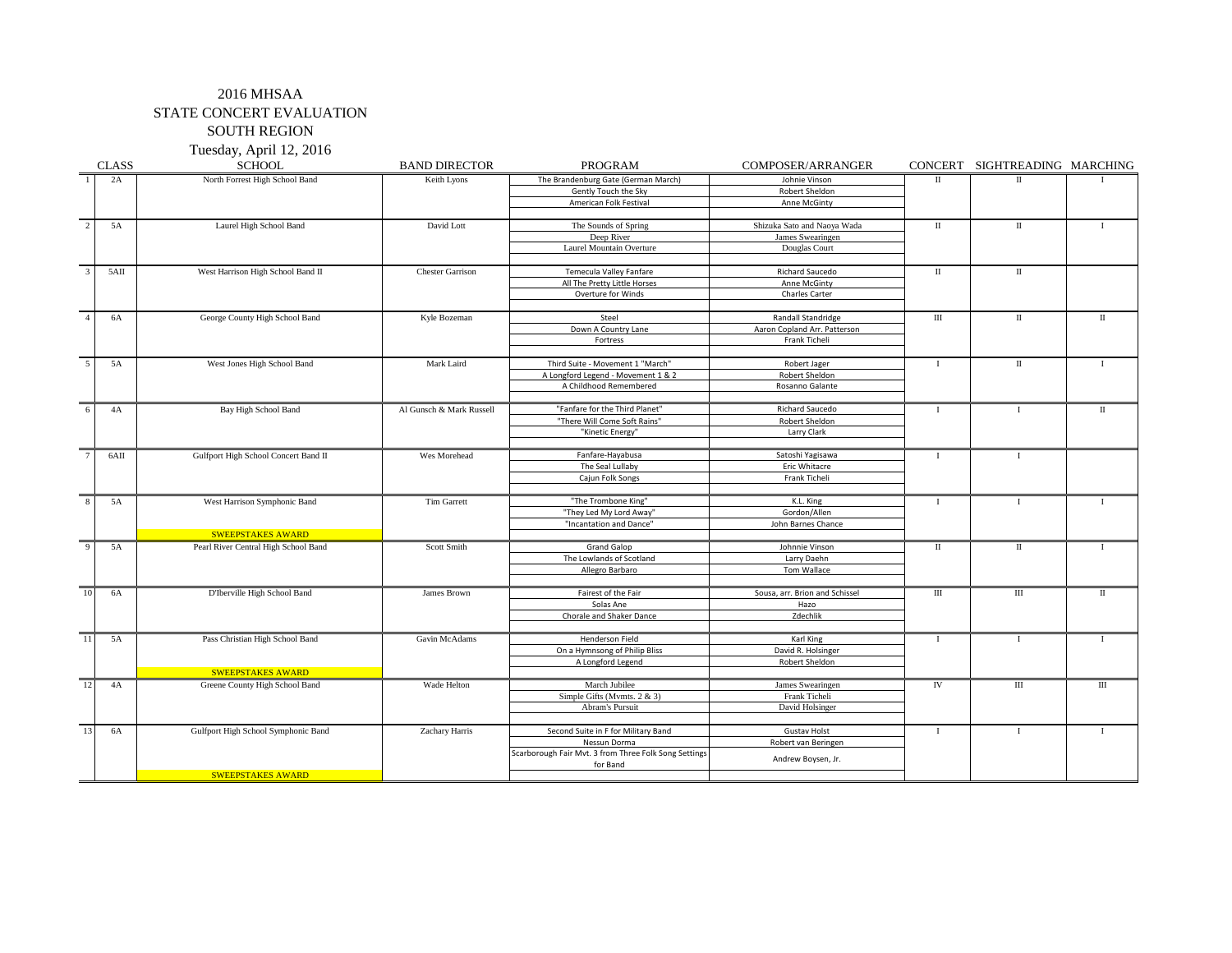## 2016 MHSAA STATE CONCERT EVALUATION SOUTH REGION

Tuesday, April 12, 2016

|                          | <b>CLASS</b> | <b>SCHOOL</b>                        | <b>BAND DIRECTOR</b>     | PROGRAM                                               | COMPOSER/ARRANGER              |              | CONCERT SIGHTREADING MARCHING |              |
|--------------------------|--------------|--------------------------------------|--------------------------|-------------------------------------------------------|--------------------------------|--------------|-------------------------------|--------------|
| $\overline{1}$           | 2A           | North Forrest High School Band       | Keith Lyons              | The Brandenburg Gate (German March)                   | Johnie Vinson                  | $\mathbf{I}$ | $_{\rm II}$                   |              |
|                          |              |                                      |                          | Gently Touch the Sky                                  | Robert Sheldon                 |              |                               |              |
|                          |              |                                      |                          | American Folk Festival                                | Anne McGinty                   |              |                               |              |
|                          |              |                                      |                          |                                                       |                                |              |                               |              |
| $\overline{2}$           | 5A           | Laurel High School Band              | David Lott               | The Sounds of Spring                                  | Shizuka Sato and Naoya Wada    | П            | П                             | $\mathbf{I}$ |
|                          |              |                                      |                          | Deep River                                            | James Swearingen               |              |                               |              |
|                          |              |                                      |                          | Laurel Mountain Overture                              | Douglas Court                  |              |                               |              |
|                          |              |                                      |                          |                                                       |                                |              |                               |              |
| $\overline{\mathbf{3}}$  | 5AII         | West Harrison High School Band II    | <b>Chester Garrison</b>  | Temecula Valley Fanfare                               | Richard Saucedo                | $\;$ II      | $\;$ II                       |              |
|                          |              |                                      |                          | All The Pretty Little Horses                          | Anne McGinty                   |              |                               |              |
|                          |              |                                      |                          | Overture for Winds                                    | Charles Carter                 |              |                               |              |
|                          |              |                                      |                          |                                                       |                                |              |                               |              |
| $\overline{4}$           | 6A           | George County High School Band       | Kyle Bozeman             | Steel                                                 | Randall Standridge             | Ш            | П                             | П            |
|                          |              |                                      |                          | Down A Country Lane                                   | Aaron Copland Arr. Patterson   |              |                               |              |
|                          |              |                                      |                          | Fortress                                              | Frank Ticheli                  |              |                               |              |
|                          |              |                                      |                          |                                                       |                                |              |                               |              |
| $\overline{\phantom{0}}$ | 5A           | West Jones High School Band          | Mark Laird               | Third Suite - Movement 1 "March"                      | Robert Jager                   | $\mathbf I$  | П                             | Т            |
|                          |              |                                      |                          | A Longford Legend - Movement 1 & 2                    | Robert Sheldon                 |              |                               |              |
|                          |              |                                      |                          | A Childhood Remembered                                | Rosanno Galante                |              |                               |              |
|                          |              |                                      |                          |                                                       |                                |              |                               |              |
| 6                        | 4A           | Bay High School Band                 | Al Gunsch & Mark Russell | "Fanfare for the Third Planet"                        | Richard Saucedo                | $\mathbf{I}$ | $\mathbf{I}$                  | П            |
|                          |              |                                      |                          | "There Will Come Soft Rains"                          | Robert Sheldon                 |              |                               |              |
|                          |              |                                      |                          | "Kinetic Energy"                                      | Larry Clark                    |              |                               |              |
|                          |              |                                      |                          |                                                       |                                |              |                               |              |
| $\overline{7}$           | 6AII         | Gulfport High School Concert Band II | Wes Morehead             | Fanfare-Hayabusa                                      | Satoshi Yagisawa               | $\mathbf{I}$ | $\mathbf I$                   |              |
|                          |              |                                      |                          | The Seal Lullaby                                      | Eric Whitacre                  |              |                               |              |
|                          |              |                                      |                          | Cajun Folk Songs                                      | Frank Ticheli                  |              |                               |              |
|                          |              |                                      |                          |                                                       |                                |              |                               |              |
| $8\phantom{.0}$          | 5A           | West Harrison Symphonic Band         | Tim Garrett              | "The Trombone King"                                   | K.L. King                      | $\mathbf I$  | 1                             | Ι.           |
|                          |              |                                      |                          | "They Led My Lord Away"                               | Gordon/Allen                   |              |                               |              |
|                          |              |                                      |                          | "Incantation and Dance"                               | John Barnes Chance             |              |                               |              |
|                          |              | <b>SWEEPSTAKES AWARD</b>             |                          |                                                       |                                |              |                               |              |
| $\overline{9}$           | 5A           | Pearl River Central High School Band | Scott Smith              | <b>Grand Galop</b>                                    | Johnnie Vinson                 | $\;$ II      | П                             | $\mathbf{I}$ |
|                          |              |                                      |                          | The Lowlands of Scotland                              | Larry Daehn                    |              |                               |              |
|                          |              |                                      |                          | Allegro Barbaro                                       | Tom Wallace                    |              |                               |              |
|                          |              |                                      |                          |                                                       |                                |              |                               |              |
| 10                       | 6A           | D'Iberville High School Band         | James Brown              | Fairest of the Fair                                   | Sousa, arr. Brion and Schissel | Ш            | Ш                             | П            |
|                          |              |                                      |                          | Solas Ane                                             | Hazo                           |              |                               |              |
|                          |              |                                      |                          | Chorale and Shaker Dance                              | Zdechlik                       |              |                               |              |
|                          |              |                                      |                          |                                                       |                                |              |                               |              |
| $\overline{11}$          | 5A           | Pass Christian High School Band      | Gavin McAdams            | <b>Henderson Field</b>                                | Karl King                      | $\mathbf I$  | $\mathbf{I}$                  | $\mathbf{I}$ |
|                          |              |                                      |                          | On a Hymnsong of Philip Bliss                         | David R. Holsinger             |              |                               |              |
|                          |              |                                      |                          | A Longford Legend                                     | Robert Sheldon                 |              |                               |              |
|                          |              | <b>SWEEPSTAKES AWARD</b>             |                          |                                                       |                                |              |                               |              |
| 12                       | 4A           | Greene County High School Band       | Wade Helton              | March Jubilee                                         | James Swearingen               | IV           | Ш                             | Ш            |
|                          |              |                                      |                          | Simple Gifts (Mymts. $2 & 3$ )                        | Frank Ticheli                  |              |                               |              |
|                          |              |                                      |                          | Abram's Pursuit                                       | David Holsinger                |              |                               |              |
|                          |              |                                      |                          |                                                       |                                |              |                               |              |
| 13                       | 6A           | Gulfport High School Symphonic Band  | Zachary Harris           | Second Suite in F for Military Band                   | <b>Gustav Holst</b>            | $\mathbf{I}$ | $\mathbf{I}$                  | 1            |
|                          |              |                                      |                          | Nessun Dorma                                          | Robert van Beringen            |              |                               |              |
|                          |              |                                      |                          | Scarborough Fair Mvt. 3 from Three Folk Song Settings |                                |              |                               |              |
|                          |              |                                      |                          | for Band                                              | Andrew Boysen, Jr.             |              |                               |              |
|                          |              | <b>SWEEPSTAKES AWARD</b>             |                          |                                                       |                                |              |                               |              |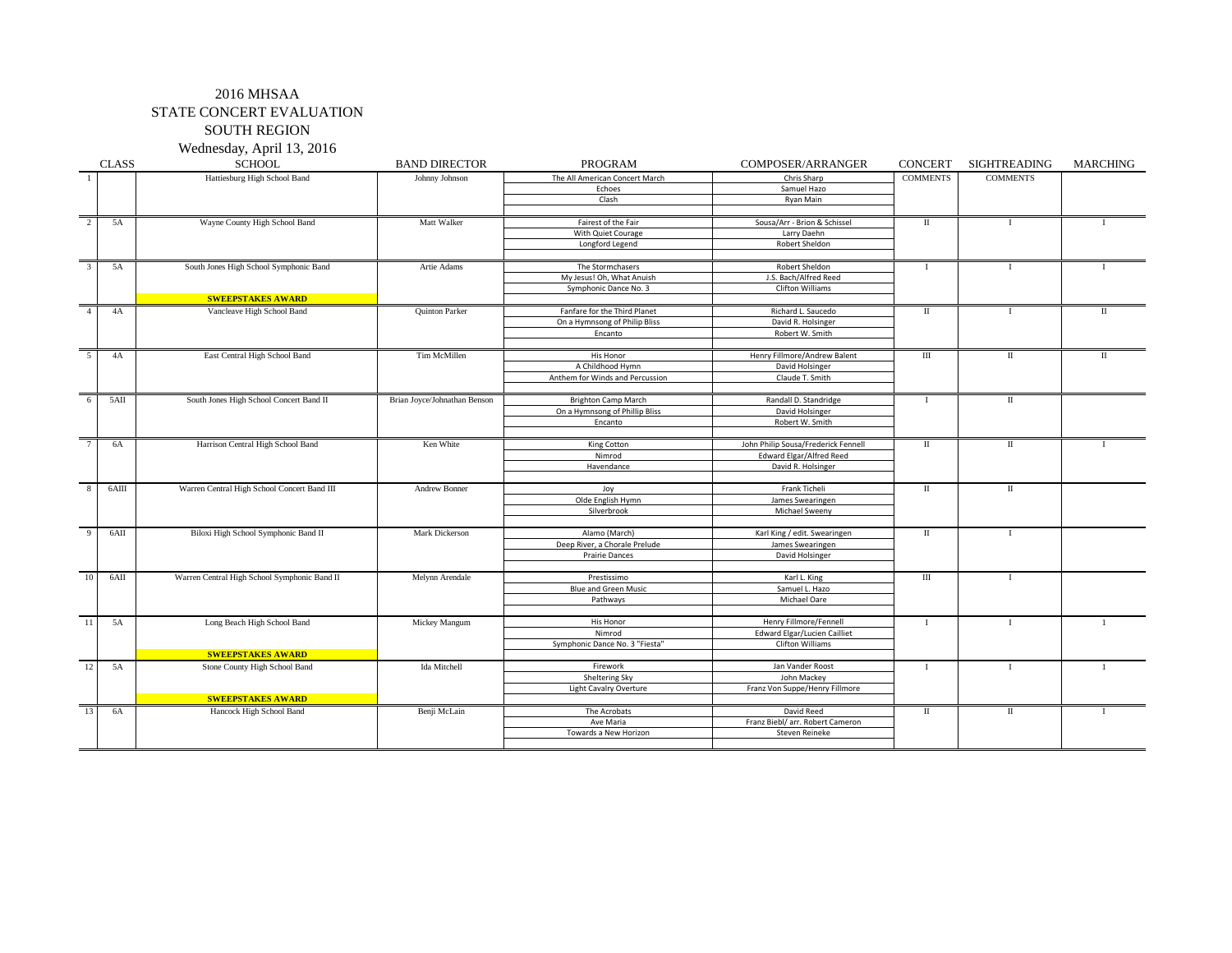# 2016 MHSAA STATE CONCERT EVALUATION

# SOUTH REGION

Wednesday, April 13, 2016

|                | <b>CLASS</b> | <b>SCHOOL</b>                                | <b>BAND DIRECTOR</b>         | PROGRAM                         | COMPOSER/ARRANGER                   | <b>CONCERT</b>  | SIGHTREADING         | <b>MARCHING</b> |
|----------------|--------------|----------------------------------------------|------------------------------|---------------------------------|-------------------------------------|-----------------|----------------------|-----------------|
|                |              | Hattiesburg High School Band                 | Johnny Johnson               | The All American Concert March  | Chris Sharp                         | <b>COMMENTS</b> | <b>COMMENTS</b>      |                 |
|                |              |                                              |                              | Echoes                          | Samuel Hazo                         |                 |                      |                 |
|                |              |                                              |                              | Clash                           | Ryan Main                           |                 |                      |                 |
|                |              |                                              |                              |                                 |                                     |                 |                      |                 |
| $\overline{2}$ | 5A           | Wayne County High School Band                | Matt Walker                  | Fairest of the Fair             | Sousa/Arr - Brion & Schissel        | П               |                      |                 |
|                |              |                                              |                              | With Quiet Courage              | Larry Daehn                         |                 |                      |                 |
|                |              |                                              |                              | Longford Legend                 | Robert Sheldon                      |                 |                      |                 |
|                |              |                                              |                              |                                 |                                     |                 |                      |                 |
| $\mathcal{R}$  | 5A           | South Jones High School Symphonic Band       | Artie Adams                  | The Stormchasers                | Robert Sheldon                      | $\bf{I}$        | $\mathbf{I}$         |                 |
|                |              |                                              |                              | My Jesus! Oh, What Anuish       | J.S. Bach/Alfred Reed               |                 |                      |                 |
|                |              |                                              |                              | Symphonic Dance No. 3           | Clifton Williams                    |                 |                      |                 |
|                |              | <b>SWEEPSTAKES AWARD</b>                     |                              |                                 |                                     |                 |                      |                 |
| $\overline{4}$ | 4A           | Vancleave High School Band                   | Quinton Parker               | Fanfare for the Third Planet    | Richard L. Saucedo                  | $\;$ II         | - 1                  | П               |
|                |              |                                              |                              | On a Hymnsong of Philip Bliss   | David R. Holsinger                  |                 |                      |                 |
|                |              |                                              |                              | Encanto                         | Robert W. Smith                     |                 |                      |                 |
|                |              |                                              |                              |                                 |                                     |                 |                      |                 |
| -5             | 4A           | East Central High School Band                | Tim McMillen                 | His Honor                       | Henry Fillmore/Andrew Balent        | $\rm III$       | П                    | П               |
|                |              |                                              |                              | A Childhood Hymn                | David Holsinger                     |                 |                      |                 |
|                |              |                                              |                              | Anthem for Winds and Percussion | Claude T. Smith                     |                 |                      |                 |
|                |              |                                              |                              |                                 |                                     |                 |                      |                 |
| -6             | 5AII         | South Jones High School Concert Band II      | Brian Joyce/Johnathan Benson | <b>Brighton Camp March</b>      | Randall D. Standridge               | <b>I</b>        | $\scriptstyle\rm II$ |                 |
|                |              |                                              |                              | On a Hymnsong of Phillip Bliss  | David Holsinger                     |                 |                      |                 |
|                |              |                                              |                              | Encanto                         | Robert W. Smith                     |                 |                      |                 |
|                |              |                                              |                              |                                 |                                     |                 |                      |                 |
|                | 6A           | Harrison Central High School Band            | Ken White                    | King Cotton                     | John Philip Sousa/Frederick Fennell | П               | П                    |                 |
|                |              |                                              |                              | Nimrod                          | Edward Elgar/Alfred Reed            |                 |                      |                 |
|                |              |                                              |                              | Havendance                      | David R. Holsinger                  |                 |                      |                 |
|                |              |                                              |                              |                                 |                                     |                 |                      |                 |
| $\mathbf{R}$   | 6AIII        | Warren Central High School Concert Band III  | Andrew Bonner                | Joy                             | Frank Ticheli                       | $\mathbf{I}$    | $\mathbf{I}$         |                 |
|                |              |                                              |                              | Olde English Hymn               | James Swearingen                    |                 |                      |                 |
|                |              |                                              |                              | Silverbrook                     | Michael Sweeny                      |                 |                      |                 |
|                |              |                                              |                              |                                 |                                     |                 |                      |                 |
|                | 6AII         | Biloxi High School Symphonic Band II         | Mark Dickerson               | Alamo (March)                   | Karl King / edit. Swearingen        | П               | $\bf{I}$             |                 |
|                |              |                                              |                              | Deep River, a Chorale Prelude   | James Swearingen                    |                 |                      |                 |
|                |              |                                              |                              | <b>Prairie Dances</b>           | David Holsinger                     |                 |                      |                 |
|                |              |                                              |                              |                                 |                                     |                 |                      |                 |
| 10             | $6$ AII      | Warren Central High School Symphonic Band II | Melynn Arendale              | Prestissimo                     | Karl L. King                        | Ш               | $\bf{I}$             |                 |
|                |              |                                              |                              | <b>Blue and Green Music</b>     | Samuel L. Hazo                      |                 |                      |                 |
|                |              |                                              |                              | Pathways                        | Michael Oare                        |                 |                      |                 |
|                |              |                                              |                              |                                 |                                     |                 |                      |                 |
| 11             | 5A           | Long Beach High School Band                  | Mickey Mangum                | His Honor                       | Henry Fillmore/Fennell              | $\mathbf{I}$    | $\mathbf{I}$         | $\overline{1}$  |
|                |              |                                              |                              | Nimrod                          | <b>Edward Elgar/Lucien Cailliet</b> |                 |                      |                 |
|                |              |                                              |                              | Symphonic Dance No. 3 "Fiesta"  | Clifton Williams                    |                 |                      |                 |
|                |              | <b>SWEEPSTAKES AWARD</b>                     |                              |                                 |                                     |                 |                      |                 |
| 12             | 5A           | Stone County High School Band                | Ida Mitchell                 | Firework                        | Jan Vander Roost                    | $\mathbf I$     | $\mathbf{I}$         |                 |
|                |              |                                              |                              | Sheltering Sky                  | John Mackev                         |                 |                      |                 |
|                |              |                                              |                              | Light Cavalry Overture          | Franz Von Suppe/Henry Fillmore      |                 |                      |                 |
|                |              | <b>SWEEPSTAKES AWARD</b>                     |                              |                                 |                                     |                 |                      |                 |
| 13             | 6A           | Hancock High School Band                     | Benji McLain                 | The Acrobats                    | David Reed                          | П               | П                    | $\mathbf{I}$    |
|                |              |                                              |                              | Ave Maria                       | Franz Biebl/ arr. Robert Cameron    |                 |                      |                 |
|                |              |                                              |                              | Towards a New Horizon           | Steven Reineke                      |                 |                      |                 |
|                |              |                                              |                              |                                 |                                     |                 |                      |                 |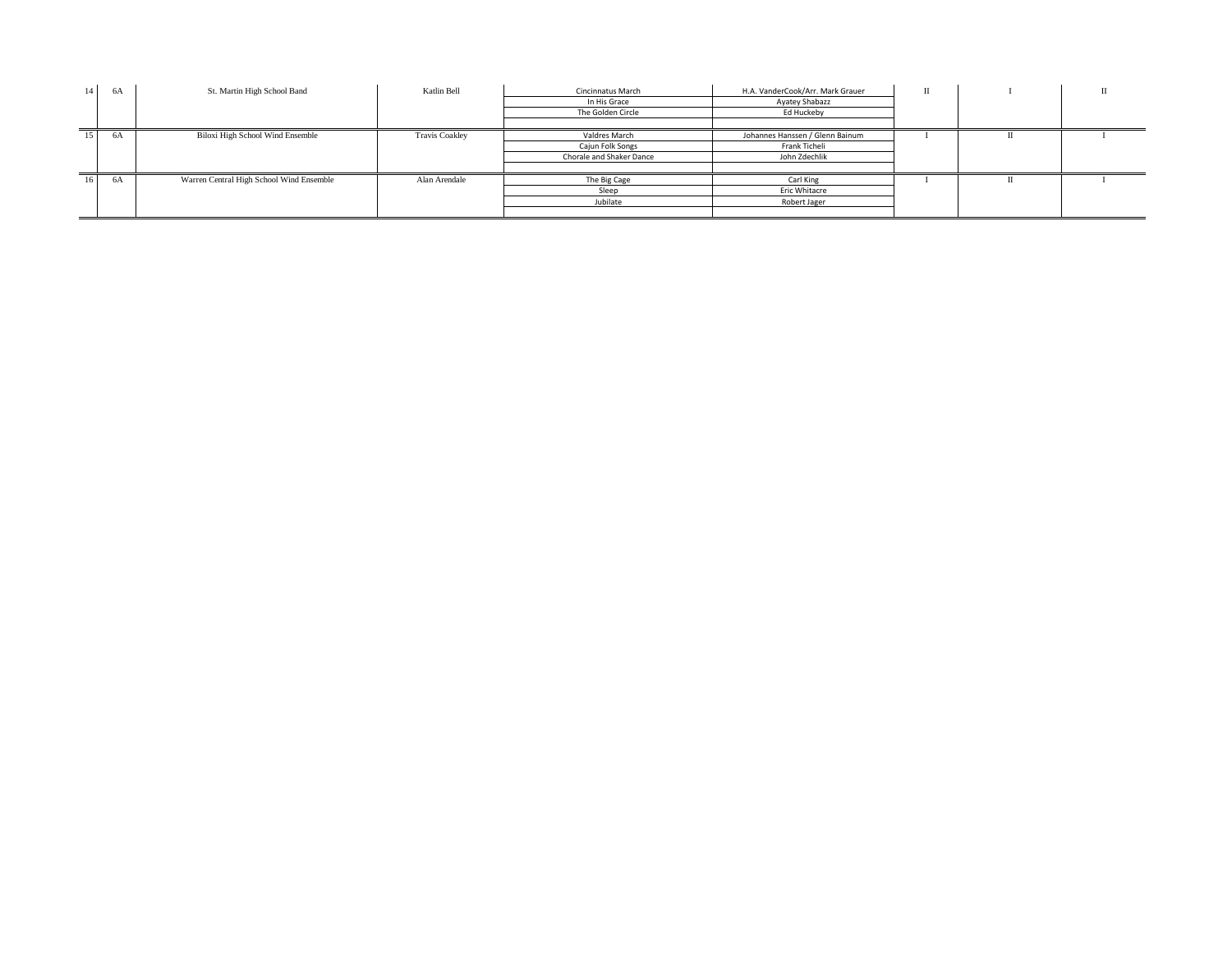| 14              | - 6A | St. Martin High School Band              | Katlin Bell           | Cincinnatus March        | H.A. VanderCook/Arr. Mark Grauer | П |  |  |  |
|-----------------|------|------------------------------------------|-----------------------|--------------------------|----------------------------------|---|--|--|--|
|                 |      |                                          |                       | In His Grace             | Ayatey Shabazz                   |   |  |  |  |
|                 |      |                                          |                       | The Golden Circle        | Ed Huckeby                       |   |  |  |  |
|                 |      |                                          |                       |                          |                                  |   |  |  |  |
| $15-15$         | 6A   | Biloxi High School Wind Ensemble         | <b>Travis Coakley</b> | Valdres March            | Johannes Hanssen / Glenn Bainum  |   |  |  |  |
|                 |      |                                          |                       | Cajun Folk Songs         | Frank Ticheli                    |   |  |  |  |
|                 |      |                                          |                       | Chorale and Shaker Dance | John Zdechlik                    |   |  |  |  |
|                 |      |                                          |                       |                          |                                  |   |  |  |  |
| 16 <sup>1</sup> | 6A   | Warren Central High School Wind Ensemble | Alan Arendale         | The Big Cage             | Carl King                        |   |  |  |  |
|                 |      |                                          |                       | Sleep                    | Eric Whitacre                    |   |  |  |  |
|                 |      |                                          |                       | Jubilate                 | Robert Jager                     |   |  |  |  |
|                 |      |                                          |                       |                          |                                  |   |  |  |  |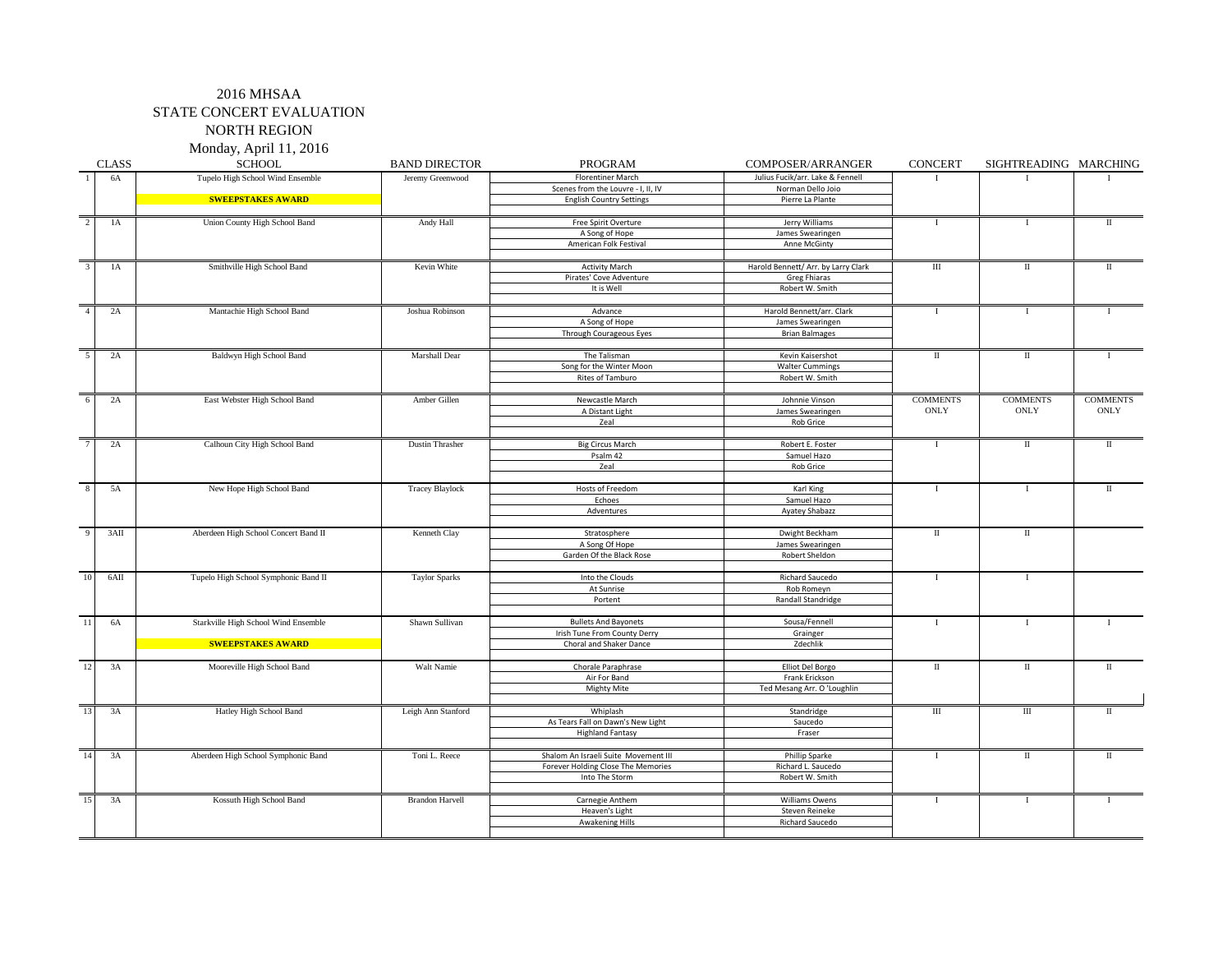# 2016 MHSAA STATE CONCERT EVALUATION

NORTH REGION

| Monday, April 11, 2016 |  |  |  |
|------------------------|--|--|--|
|------------------------|--|--|--|

|                | <b>CLASS</b> | <b>SCHOOL</b>                        | <b>BAND DIRECTOR</b>   | <b>PROGRAM</b>                       | COMPOSER/ARRANGER                   | <b>CONCERT</b>       | SIGHTREADING MARCHING        |                      |
|----------------|--------------|--------------------------------------|------------------------|--------------------------------------|-------------------------------------|----------------------|------------------------------|----------------------|
| $\overline{1}$ | 6A           | Tupelo High School Wind Ensemble     | Jeremy Greenwood       | <b>Florentiner March</b>             | Julius Fucik/arr. Lake & Fennell    | $\mathbf{I}$         | $\mathbf{I}$                 |                      |
|                |              |                                      |                        | Scenes from the Louvre - I, II, IV   | Norman Dello Joio                   |                      |                              |                      |
|                |              | <b>SWEEPSTAKES AWARD</b>             |                        | <b>English Country Settings</b>      | Pierre La Plante                    |                      |                              |                      |
|                |              |                                      |                        |                                      |                                     |                      |                              |                      |
| $\overline{2}$ | 1A           | Union County High School Band        | Andy Hall              | Free Spirit Overture                 | Jerry Williams                      | $\mathbf{I}$         | $\mathbf{I}$                 | $\scriptstyle\rm II$ |
|                |              |                                      |                        | A Song of Hope                       | James Swearingen                    |                      |                              |                      |
|                |              |                                      |                        | American Folk Festival               | Anne McGinty                        |                      |                              |                      |
|                |              |                                      |                        |                                      |                                     |                      |                              |                      |
| $\mathcal{E}$  | 1A           | Smithville High School Band          | Kevin White            | <b>Activity March</b>                | Harold Bennett/ Arr. by Larry Clark | $\rm III$            | $\rm II$                     | $\mathbf{H}$         |
|                |              |                                      |                        | Pirates' Cove Adventure              | Greg Fhiaras                        |                      |                              |                      |
|                |              |                                      |                        | It is Well                           | Robert W. Smith                     |                      |                              |                      |
| $\overline{4}$ | 2A           | Mantachie High School Band           | Joshua Robinson        | Advance                              | Harold Bennett/arr. Clark           | $\mathbf I$          | $\mathbf I$                  |                      |
|                |              |                                      |                        | A Song of Hope                       | James Swearingen                    |                      |                              |                      |
|                |              |                                      |                        | Through Courageous Eyes              | <b>Brian Balmages</b>               |                      |                              |                      |
|                |              |                                      |                        |                                      |                                     |                      |                              |                      |
|                | 2A           | <b>Baldwyn High School Band</b>      | Marshall Dear          | The Talisman                         | Kevin Kaisershot                    | $\scriptstyle\rm II$ | $\scriptstyle\rm II$         |                      |
|                |              |                                      |                        | Song for the Winter Moon             | <b>Walter Cummings</b>              |                      |                              |                      |
|                |              |                                      |                        | Rites of Tamburo                     | Robert W. Smith                     |                      |                              |                      |
|                |              |                                      |                        |                                      |                                     |                      |                              |                      |
|                | 2A           | East Webster High School Band        | Amber Gillen           | Newcastle March                      | Johnnie Vinson                      | <b>COMMENTS</b>      | <b>COMMENTS</b>              | <b>COMMENTS</b>      |
|                |              |                                      |                        | A Distant Light                      | James Swearingen                    | <b>ONLY</b>          | $\mathop{\rm ONLY}\nolimits$ | ONLY                 |
|                |              |                                      |                        | Zeal                                 | <b>Rob Grice</b>                    |                      |                              |                      |
|                |              |                                      |                        |                                      |                                     |                      |                              |                      |
|                | 2A           | Calhoun City High School Band        | <b>Dustin Thrasher</b> | <b>Big Circus March</b>              | Robert E. Foster                    | $\mathbf{I}$         | $\rm II$                     | $\rm II$             |
|                |              |                                      |                        | Psalm 42                             | Samuel Hazo                         |                      |                              |                      |
|                |              |                                      |                        | Zeal                                 | <b>Rob Grice</b>                    |                      |                              |                      |
|                | 5A           | New Hope High School Band            | <b>Tracey Blaylock</b> | Hosts of Freedom                     | Karl King                           | $\mathbf{I}$         | $\mathbf I$                  | $\;$ II              |
|                |              |                                      |                        | Echoes                               | Samuel Hazo                         |                      |                              |                      |
|                |              |                                      |                        | Adventures                           | <b>Ayatey Shabazz</b>               |                      |                              |                      |
|                |              |                                      |                        |                                      |                                     |                      |                              |                      |
| 9              | 3AII         | Aberdeen High School Concert Band II | Kenneth Clay           | Stratosphere                         | Dwight Beckham                      | $\rm II$             | $\;$ II                      |                      |
|                |              |                                      |                        | A Song Of Hope                       | James Swearingen                    |                      |                              |                      |
|                |              |                                      |                        | Garden Of the Black Rose             | Robert Sheldon                      |                      |                              |                      |
| 10             | 6AII         | Tupelo High School Symphonic Band II | <b>Taylor Sparks</b>   | Into the Clouds                      | Richard Saucedo                     | <sup>1</sup>         | 1                            |                      |
|                |              |                                      |                        | At Sunrise                           | Rob Romeyn                          |                      |                              |                      |
|                |              |                                      |                        | Portent                              | Randall Standridge                  |                      |                              |                      |
|                |              |                                      |                        |                                      |                                     |                      |                              |                      |
| 11             | 6A           | Starkville High School Wind Ensemble | Shawn Sullivan         | <b>Bullets And Bayonets</b>          | Sousa/Fennell                       | $\mathbf I$          | $\mathbf I$                  |                      |
|                |              |                                      |                        | Irish Tune From County Derry         | Grainger                            |                      |                              |                      |
|                |              | <b>SWEEPSTAKES AWARD</b>             |                        | Choral and Shaker Dance              | Zdechlik                            |                      |                              |                      |
|                |              |                                      |                        |                                      |                                     |                      |                              |                      |
| 12             | 3A           | Mooreville High School Band          | Walt Namie             | Chorale Paraphrase                   | Elliot Del Borgo                    | $\rm II$             | $\;$ II                      | $\;$ II              |
|                |              |                                      |                        | Air For Band                         | Frank Erickson                      |                      |                              |                      |
|                |              |                                      |                        | Mighty Mite                          | Ted Mesang Arr. O 'Loughlin         |                      |                              |                      |
| 13             | 3A           | Hatley High School Band              | Leigh Ann Stanford     | Whiplash                             | Standridge                          | $\rm III$            | $\rm III$                    | $\mathbf{I}$         |
|                |              |                                      |                        | As Tears Fall on Dawn's New Light    | Saucedo                             |                      |                              |                      |
|                |              |                                      |                        | <b>Highland Fantasy</b>              | Fraser                              |                      |                              |                      |
|                |              |                                      |                        |                                      |                                     |                      |                              |                      |
| 14             | 3A           | Aberdeen High School Symphonic Band  | Toni L. Reece          | Shalom An Israeli Suite Movement III | Phillip Sparke                      | $\mathbf I$          | П                            | П                    |
|                |              |                                      |                        | Forever Holding Close The Memories   | Richard L. Saucedo                  |                      |                              |                      |
|                |              |                                      |                        | Into The Storm                       | Robert W. Smith                     |                      |                              |                      |
|                |              |                                      |                        |                                      |                                     |                      |                              |                      |
| 15             | 3A           | Kossuth High School Band             | <b>Brandon Harvell</b> | Carnegie Anthem                      | Williams Owens                      | $\mathbf{I}$         | л                            |                      |
|                |              |                                      |                        | Heaven's Light                       | Steven Reineke                      |                      |                              |                      |
|                |              |                                      |                        | <b>Awakening Hills</b>               | Richard Saucedo                     |                      |                              |                      |
|                |              |                                      |                        |                                      |                                     |                      |                              |                      |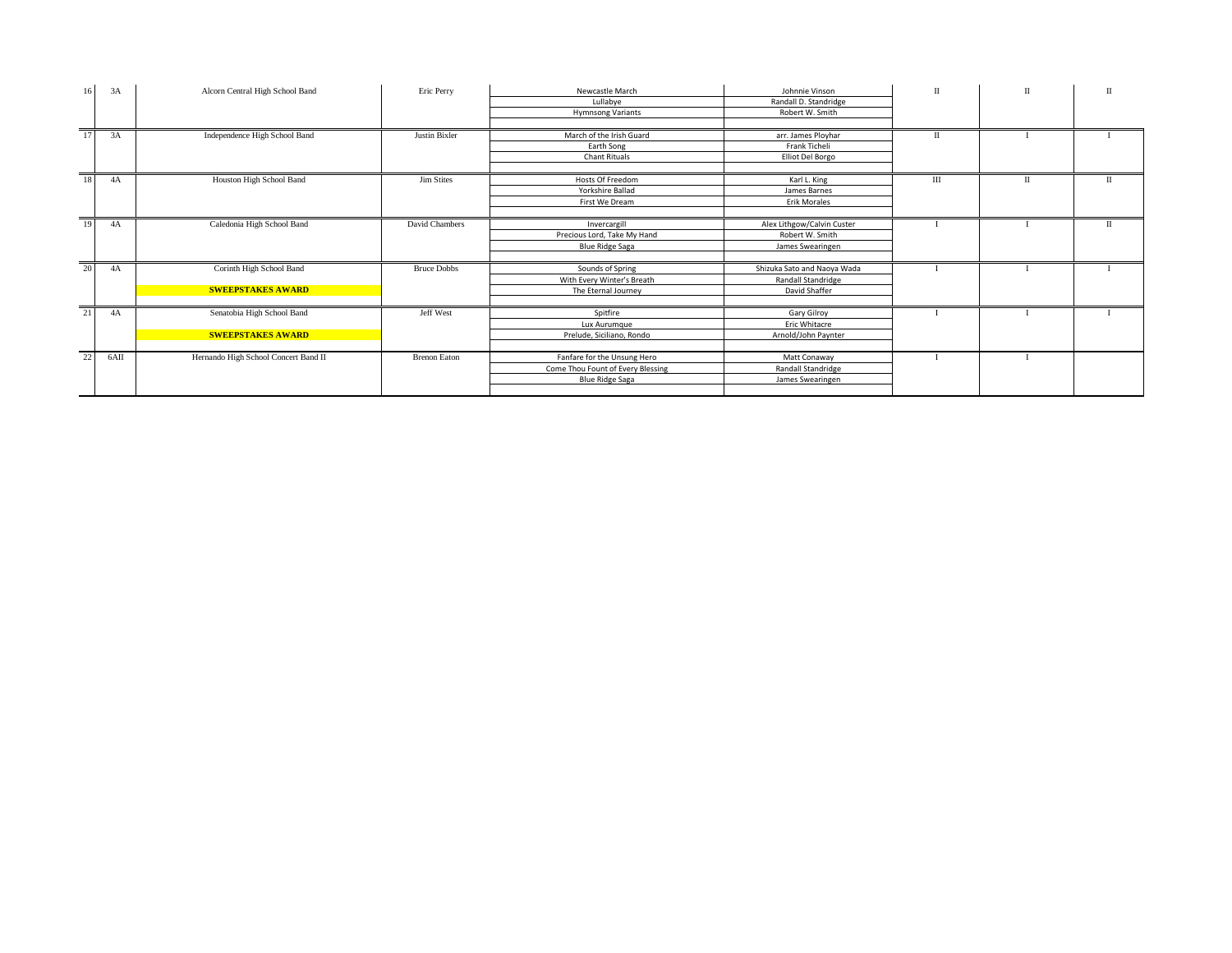| 16              | 3A   | Alcorn Central High School Band      | Eric Perry          | Newcastle March                   | Johnnie Vinson              | $\mathbf{I}$ | $\mathbf{I}$ | $\mathbf{I}$ |
|-----------------|------|--------------------------------------|---------------------|-----------------------------------|-----------------------------|--------------|--------------|--------------|
|                 |      |                                      |                     | Lullabye                          | Randall D. Standridge       |              |              |              |
|                 |      |                                      |                     | <b>Hymnsong Variants</b>          | Robert W. Smith             |              |              |              |
|                 |      |                                      |                     |                                   |                             |              |              |              |
| $\overline{17}$ | 3A   | Independence High School Band        | Justin Bixler       | March of the Irish Guard          | arr. James Ployhar          | $\mathbf{H}$ |              |              |
|                 |      |                                      |                     | Earth Song                        | Frank Ticheli               |              |              |              |
|                 |      |                                      |                     | Chant Rituals                     | Elliot Del Borgo            |              |              |              |
|                 |      |                                      |                     |                                   |                             |              |              |              |
| 18              | 4A   | Houston High School Band             | <b>Jim Stites</b>   | Hosts Of Freedom                  | Karl L. King                | Ш            | $_{\rm II}$  | П            |
|                 |      |                                      |                     | Yorkshire Ballad                  | James Barnes                |              |              |              |
|                 |      |                                      |                     | First We Dream                    | <b>Erik Morales</b>         |              |              |              |
|                 |      |                                      |                     |                                   |                             |              |              |              |
| 19<br>4A        |      | Caledonia High School Band           | David Chambers      | Invercargill                      | Alex Lithgow/Calvin Custer  |              |              | $\mathbf{I}$ |
|                 |      |                                      |                     | Precious Lord, Take My Hand       | Robert W. Smith             |              |              |              |
|                 |      |                                      |                     | <b>Blue Ridge Saga</b>            | James Swearingen            |              |              |              |
|                 |      |                                      |                     |                                   |                             |              |              |              |
| 20              | 4A   | Corinth High School Band             | <b>Bruce Dobbs</b>  | Sounds of Spring                  | Shizuka Sato and Naoya Wada |              |              |              |
|                 |      |                                      |                     | With Every Winter's Breath        | Randall Standridge          |              |              |              |
|                 |      | <b>SWEEPSTAKES AWARD</b>             |                     | The Eternal Journey               | David Shaffer               |              |              |              |
|                 |      |                                      |                     |                                   |                             |              |              |              |
| 21              | 4A   | Senatobia High School Band           | Jeff West           | Spitfire                          | Gary Gilroy                 |              |              |              |
|                 |      |                                      |                     | Lux Aurumque                      | Eric Whitacre               |              |              |              |
|                 |      | <b>SWEEPSTAKES AWARD</b>             |                     | Prelude, Siciliano, Rondo         | Arnold/John Paynter         |              |              |              |
|                 |      |                                      |                     |                                   |                             |              |              |              |
| 22              | 6AII | Hernando High School Concert Band II | <b>Brenon Eaton</b> | Fanfare for the Unsung Hero       | Matt Conaway                |              |              |              |
|                 |      |                                      |                     | Come Thou Fount of Every Blessing | Randall Standridge          |              |              |              |
|                 |      |                                      |                     | <b>Blue Ridge Saga</b>            | James Swearingen            |              |              |              |
|                 |      |                                      |                     |                                   |                             |              |              |              |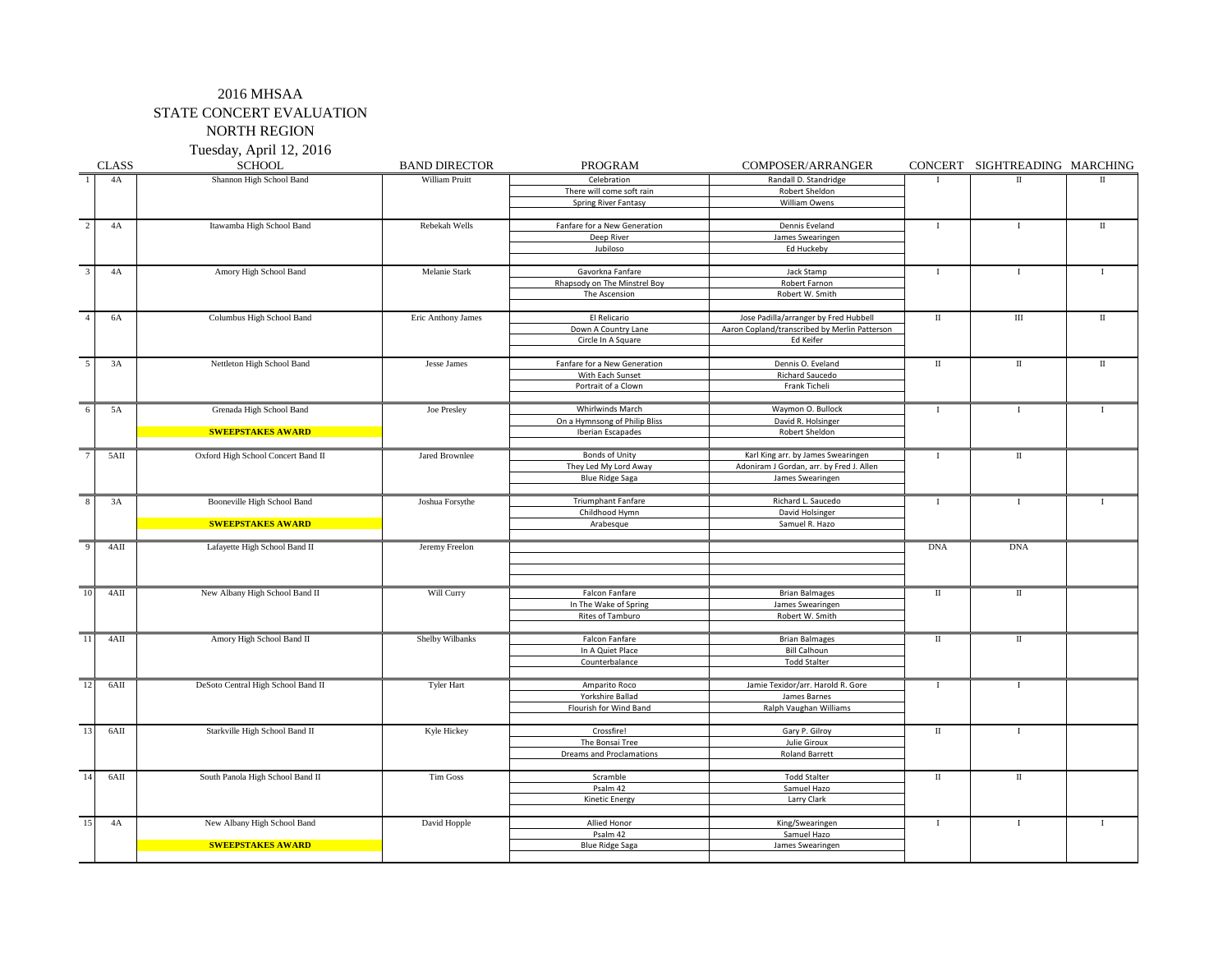Tuesday, April 12, 2016

|                | <b>CLASS</b> | <b>SCHOOL</b>                      | <b>BAND DIRECTOR</b> | PROGRAM                         | COMPOSER/ARRANGER                             |                      | CONCERT SIGHTREADING MARCHING |              |
|----------------|--------------|------------------------------------|----------------------|---------------------------------|-----------------------------------------------|----------------------|-------------------------------|--------------|
|                | 4A           | Shannon High School Band           | William Pruitt       | Celebration                     | Randall D. Standridge                         | л                    | П                             | П            |
|                |              |                                    |                      | There will come soft rain       | Robert Sheldon                                |                      |                               |              |
|                |              |                                    |                      | Spring River Fantasy            | William Owens                                 |                      |                               |              |
|                |              |                                    |                      |                                 |                                               |                      |                               |              |
| $\overline{2}$ | 4A           | Itawamba High School Band          | Rebekah Wells        | Fanfare for a New Generation    | Dennis Eveland                                | $\bf{I}$             | $\mathbf I$                   | $\rm II$     |
|                |              |                                    |                      | Deep River                      | James Swearingen                              |                      |                               |              |
|                |              |                                    |                      | Jubiloso                        | Ed Huckeby                                    |                      |                               |              |
|                |              |                                    |                      |                                 |                                               |                      |                               |              |
| $\overline{3}$ | 4A           | Amory High School Band             | Melanie Stark        | Gavorkna Fanfare                | Jack Stamp                                    | $\mathbf I$          | $\bf{I}$                      | $\bf{I}$     |
|                |              |                                    |                      | Rhapsody on The Minstrel Boy    | Robert Farnon                                 |                      |                               |              |
|                |              |                                    |                      | The Ascension                   | Robert W. Smith                               |                      |                               |              |
|                |              |                                    |                      |                                 |                                               |                      |                               |              |
| $\overline{4}$ | 6A           | Columbus High School Band          | Eric Anthony James   | El Relicario                    | Jose Padilla/arranger by Fred Hubbell         | $\;$ II              | $\rm III$                     | П            |
|                |              |                                    |                      | Down A Country Lane             | Aaron Copland/transcribed by Merlin Patterson |                      |                               |              |
|                |              |                                    |                      | Circle In A Square              | Ed Keifer                                     |                      |                               |              |
|                |              |                                    |                      |                                 |                                               |                      |                               |              |
| 5              | 3A           | Nettleton High School Band         | Jesse James          | Fanfare for a New Generation    | Dennis O. Eveland                             | $\scriptstyle\rm II$ | $\;$ II                       | $\rm II$     |
|                |              |                                    |                      | With Each Sunset                | Richard Saucedo                               |                      |                               |              |
|                |              |                                    |                      | Portrait of a Clown             | Frank Ticheli                                 |                      |                               |              |
|                |              |                                    |                      |                                 |                                               |                      |                               |              |
| 6              | 5A           | Grenada High School Band           | Joe Presley          | Whirlwinds March                | Waymon O. Bullock                             | $\mathbf{I}$         | $\mathbf I$                   | $\mathbf{I}$ |
|                |              |                                    |                      | On a Hymnsong of Philip Bliss   | David R. Holsinger                            |                      |                               |              |
|                |              | <b>SWEEPSTAKES AWARD</b>           |                      | Iberian Escapades               | Robert Sheldon                                |                      |                               |              |
|                |              |                                    |                      |                                 |                                               |                      |                               |              |
|                | $5$ AII      | Oxford High School Concert Band II | Jared Brownlee       | <b>Bonds of Unity</b>           | Karl King arr. by James Swearingen            | $\mathbf{I}$         | $\rm II$                      |              |
|                |              |                                    |                      | They Led My Lord Away           | Adoniram J Gordan, arr. by Fred J. Allen      |                      |                               |              |
|                |              |                                    |                      | <b>Blue Ridge Saga</b>          | James Swearingen                              |                      |                               |              |
|                |              |                                    |                      |                                 |                                               |                      |                               |              |
| 8              | 3A           | Booneville High School Band        | Joshua Forsythe      | <b>Triumphant Fanfare</b>       | Richard L. Saucedo                            | $\mathbf{I}$         | $\mathbf{I}$                  | $\mathbf{I}$ |
|                |              |                                    |                      | Childhood Hymn                  | David Holsinger                               |                      |                               |              |
|                |              | <b>SWEEPSTAKES AWARD</b>           |                      | Arabesque                       | Samuel R. Hazo                                |                      |                               |              |
|                |              |                                    |                      |                                 |                                               |                      |                               |              |
| $\mathbf{Q}$   | 4AII         | Lafayette High School Band II      | Jeremy Freelon       |                                 |                                               | <b>DNA</b>           | <b>DNA</b>                    |              |
|                |              |                                    |                      |                                 |                                               |                      |                               |              |
|                |              |                                    |                      |                                 |                                               |                      |                               |              |
|                |              |                                    |                      |                                 |                                               |                      |                               |              |
| 10             | 4AII         | New Albany High School Band II     | Will Curry           | Falcon Fanfare                  | <b>Brian Balmages</b>                         | $\;$ II              | П                             |              |
|                |              |                                    |                      | In The Wake of Spring           | James Swearingen                              |                      |                               |              |
|                |              |                                    |                      | Rites of Tamburo                | Robert W. Smith                               |                      |                               |              |
|                |              |                                    |                      |                                 |                                               |                      |                               |              |
| 11             | $4{\rm AII}$ | Amory High School Band II          | Shelby Wilbanks      | Falcon Fanfare                  | <b>Brian Balmages</b>                         | П                    | $\;$ II                       |              |
|                |              |                                    |                      | In A Quiet Place                | <b>Bill Calhoun</b>                           |                      |                               |              |
|                |              |                                    |                      | Counterbalance                  | <b>Todd Stalter</b>                           |                      |                               |              |
|                |              |                                    |                      |                                 |                                               |                      |                               |              |
| 12             | $6$ AII      | DeSoto Central High School Band II | <b>Tyler Hart</b>    | Amparito Roco                   | Jamie Texidor/arr. Harold R. Gore             | $\bf{I}$             | 1                             |              |
|                |              |                                    |                      | Yorkshire Ballad                | James Barnes                                  |                      |                               |              |
|                |              |                                    |                      | Flourish for Wind Band          | Ralph Vaughan Williams                        |                      |                               |              |
|                |              |                                    |                      |                                 |                                               |                      |                               |              |
| 13             | 6AII         | Starkville High School Band II     | Kyle Hickey          | Crossfire!                      | Gary P. Gilroy                                | $\;$ II              | 1                             |              |
|                |              |                                    |                      | The Bonsai Tree                 | Julie Giroux                                  |                      |                               |              |
|                |              |                                    |                      | <b>Dreams and Proclamations</b> | <b>Roland Barrett</b>                         |                      |                               |              |
|                |              |                                    |                      |                                 |                                               |                      |                               |              |
| 14             | 6AII         | South Panola High School Band II   | <b>Tim Goss</b>      | Scramble                        | <b>Todd Stalter</b>                           | $\;$ II              | $\;$ II                       |              |
|                |              |                                    |                      | Psalm 42                        | Samuel Hazo                                   |                      |                               |              |
|                |              |                                    |                      | <b>Kinetic Energy</b>           | Larry Clark                                   |                      |                               |              |
|                |              |                                    |                      |                                 |                                               |                      |                               |              |
| 15             | 4A           | New Albany High School Band        | David Hopple         | Allied Honor                    | King/Swearingen                               | $\mathbf{I}$         | $\mathbf{I}$                  | $\mathbf{I}$ |
|                |              |                                    |                      | Psalm 42                        | Samuel Hazo                                   |                      |                               |              |
|                |              | <b>SWEEPSTAKES AWARD</b>           |                      | <b>Blue Ridge Saga</b>          | James Swearingen                              |                      |                               |              |
|                |              |                                    |                      |                                 |                                               |                      |                               |              |
|                |              |                                    |                      |                                 |                                               |                      |                               |              |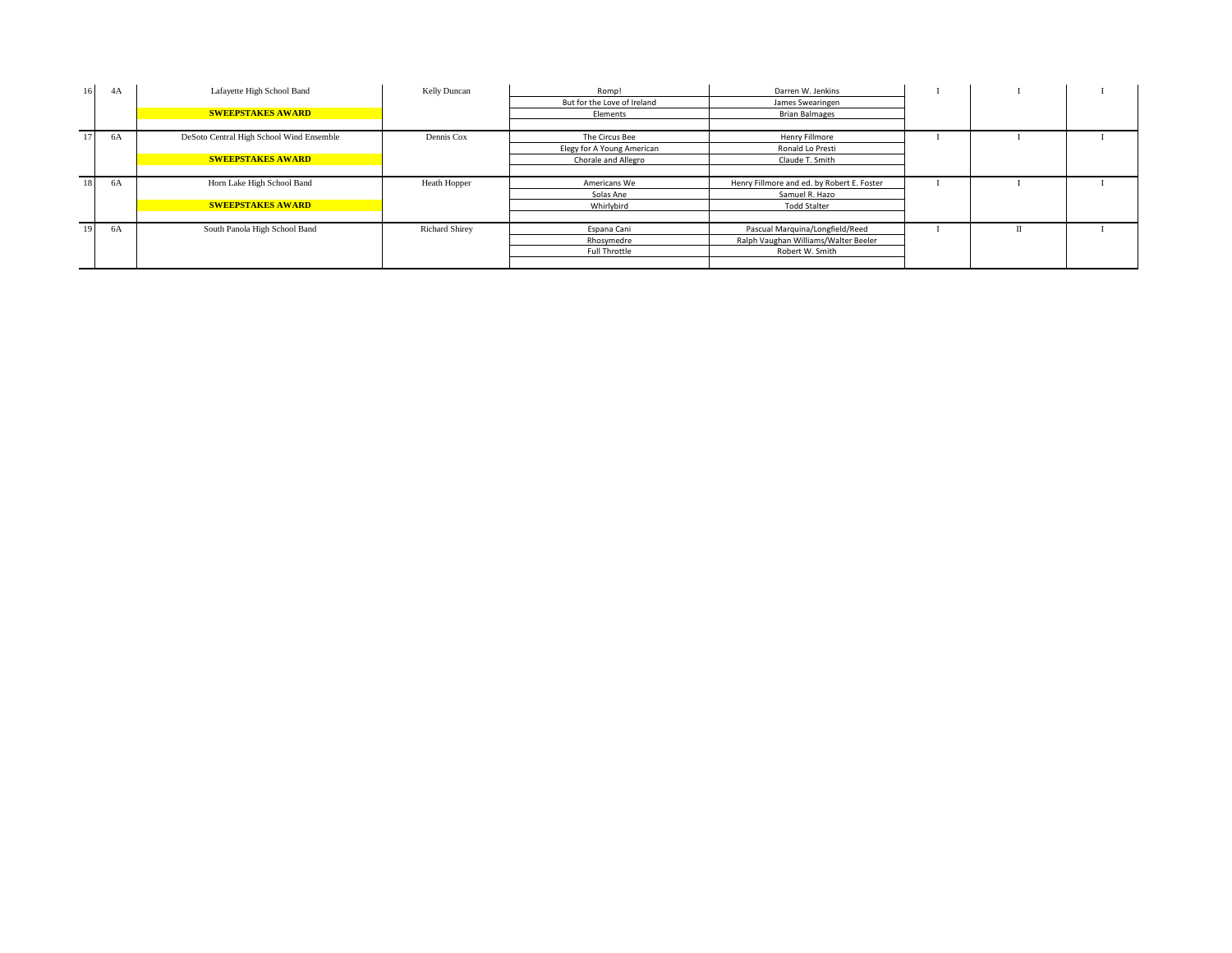| 16 <sup>1</sup> | 4A | Lafayette High School Band               | Kelly Duncan          | Romp!                       | Darren W. Jenkins                          |  |  |
|-----------------|----|------------------------------------------|-----------------------|-----------------------------|--------------------------------------------|--|--|
|                 |    |                                          |                       | But for the Love of Ireland | James Swearingen                           |  |  |
|                 |    | <b>SWEEPSTAKES AWARD</b>                 |                       | Elements                    | <b>Brian Balmages</b>                      |  |  |
|                 |    |                                          |                       |                             |                                            |  |  |
|                 | 6A | DeSoto Central High School Wind Ensemble | Dennis Cox            | The Circus Bee              | Henry Fillmore                             |  |  |
|                 |    |                                          |                       | Elegy for A Young American  | Ronald Lo Presti                           |  |  |
|                 |    | <b>SWEEPSTAKES AWARD</b>                 |                       | Chorale and Allegro         | Claude T. Smith                            |  |  |
|                 |    |                                          |                       |                             |                                            |  |  |
|                 | 6A | Horn Lake High School Band               | Heath Hopper          | Americans We                | Henry Fillmore and ed. by Robert E. Foster |  |  |
|                 |    |                                          |                       | Solas Ane                   | Samuel R. Hazo                             |  |  |
|                 |    | <b>SWEEPSTAKES AWARD</b>                 |                       | Whirlybird                  | <b>Todd Stalter</b>                        |  |  |
|                 |    |                                          |                       |                             |                                            |  |  |
| 19              | 6A | South Panola High School Band            | <b>Richard Shirey</b> | Espana Cani                 | Pascual Marquina/Longfield/Reed            |  |  |
|                 |    |                                          |                       | Rhosymedre                  | Ralph Vaughan Williams/Walter Beeler       |  |  |
|                 |    |                                          |                       | Full Throttle               | Robert W. Smith                            |  |  |
|                 |    |                                          |                       |                             |                                            |  |  |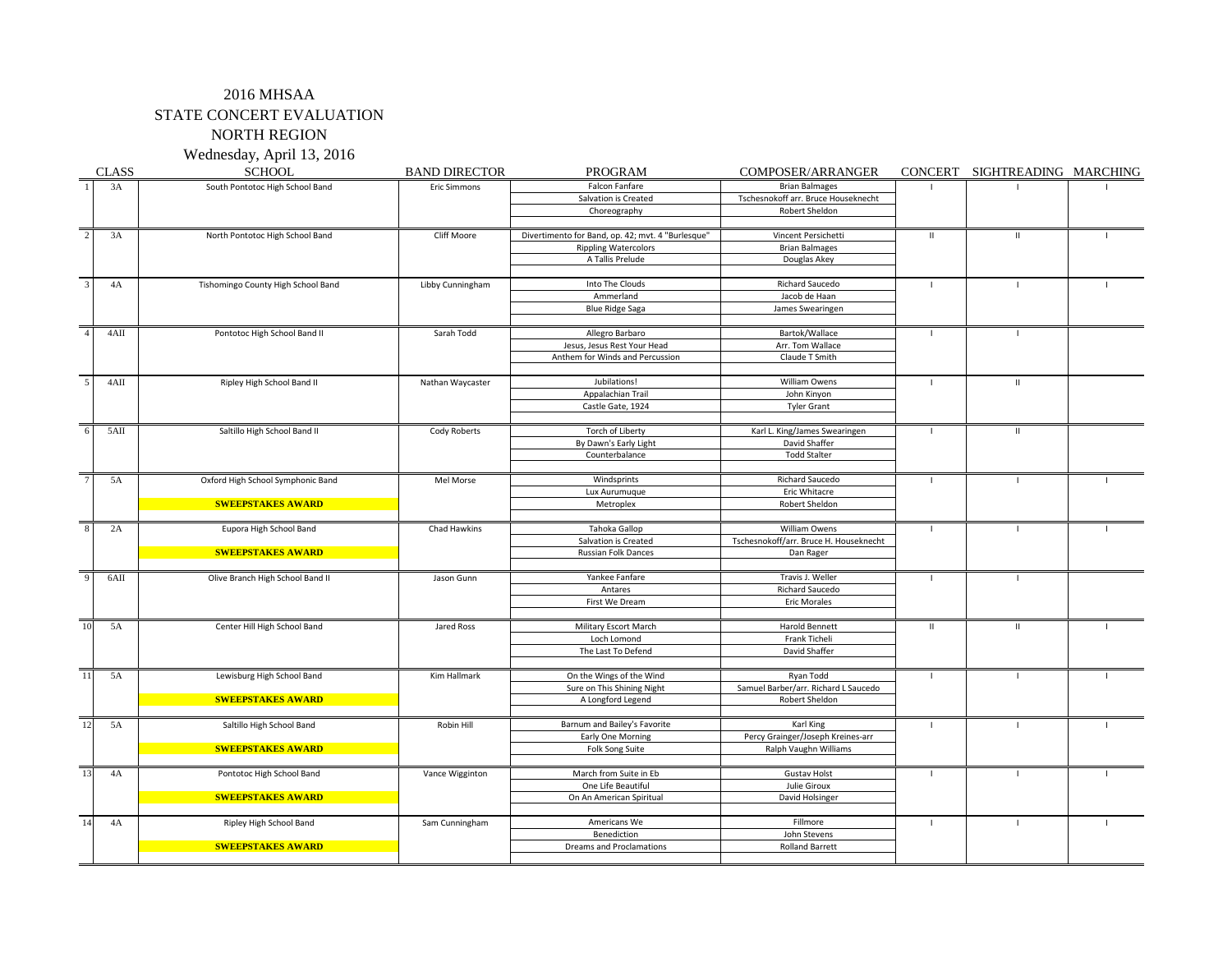Wednesday, April 13, 2016

|                         | <b>CLASS</b> | <b>SCHOOL</b>                      | <b>BAND DIRECTOR</b> | PROGRAM                                           | COMPOSER/ARRANGER                      |               | CONCERT SIGHTREADING MARCHING |              |
|-------------------------|--------------|------------------------------------|----------------------|---------------------------------------------------|----------------------------------------|---------------|-------------------------------|--------------|
|                         | 3A           | South Pontotoc High School Band    | Eric Simmons         | Falcon Fanfare                                    | <b>Brian Balmages</b>                  |               |                               |              |
|                         |              |                                    |                      | Salvation is Created                              | Tschesnokoff arr. Bruce Houseknecht    |               |                               |              |
|                         |              |                                    |                      | Choreography                                      | Robert Sheldon                         |               |                               |              |
|                         |              |                                    |                      |                                                   |                                        |               |                               |              |
| $\sqrt{2}$              | 3A           | North Pontotoc High School Band    | Cliff Moore          | Divertimento for Band, op. 42; mvt. 4 "Burlesque" | Vincent Persichetti                    | $\mathbf{II}$ | $\mathbf{II}$                 |              |
|                         |              |                                    |                      | <b>Rippling Watercolors</b>                       | <b>Brian Balmages</b>                  |               |                               |              |
|                         |              |                                    |                      | A Tallis Prelude                                  | Douglas Akey                           |               |                               |              |
|                         |              |                                    |                      |                                                   |                                        |               |                               |              |
| $\overline{\mathbf{3}}$ | 4A           | Tishomingo County High School Band | Libby Cunningham     | Into The Clouds                                   | Richard Saucedo                        |               |                               |              |
|                         |              |                                    |                      | Ammerland                                         | Jacob de Haan                          |               |                               |              |
|                         |              |                                    |                      | <b>Blue Ridge Saga</b>                            | James Swearingen                       |               |                               |              |
| $\overline{4}$          | 4AII         | Pontotoc High School Band II       | Sarah Todd           | Allegro Barbaro                                   | Bartok/Wallace                         | T             | -1                            |              |
|                         |              |                                    |                      | Jesus, Jesus Rest Your Head                       | Arr. Tom Wallace                       |               |                               |              |
|                         |              |                                    |                      | Anthem for Winds and Percussion                   | Claude T Smith                         |               |                               |              |
|                         |              |                                    |                      |                                                   |                                        |               |                               |              |
| $\overline{5}$          | 4AII         | Ripley High School Band II         | Nathan Waycaster     | Jubilations!                                      | William Owens                          | $\mathbf{I}$  | $\mathbf{II}$                 |              |
|                         |              |                                    |                      | Appalachian Trail                                 | John Kinyon                            |               |                               |              |
|                         |              |                                    |                      | Castle Gate, 1924                                 | <b>Tyler Grant</b>                     |               |                               |              |
|                         |              |                                    |                      |                                                   |                                        |               |                               |              |
| 6                       | 5AII         | Saltillo High School Band II       | Cody Roberts         | Torch of Liberty                                  | Karl L. King/James Swearingen          | $\mathbf{I}$  | $\mathbf H$                   |              |
|                         |              |                                    |                      | By Dawn's Early Light                             | David Shaffer                          |               |                               |              |
|                         |              |                                    |                      | Counterbalance                                    | <b>Todd Stalter</b>                    |               |                               |              |
| $\overline{7}$          | 5A           | Oxford High School Symphonic Band  | Mel Morse            | Windsprints                                       | Richard Saucedo                        | $\mathbf{I}$  | $\mathbf{I}$                  |              |
|                         |              |                                    |                      | Lux Aurumuque                                     | Eric Whitacre                          |               |                               |              |
|                         |              | <b>SWEEPSTAKES AWARD</b>           |                      | Metroplex                                         | Robert Sheldon                         |               |                               |              |
|                         |              |                                    |                      |                                                   |                                        |               |                               |              |
| $\overline{8}$          | 2A           | Eupora High School Band            | Chad Hawkins         | Tahoka Gallop                                     | William Owens                          | $\mathbf{I}$  | $\blacksquare$                |              |
|                         |              |                                    |                      | Salvation is Created                              | Tschesnokoff/arr. Bruce H. Houseknecht |               |                               |              |
|                         |              | <b>SWEEPSTAKES AWARD</b>           |                      | Russian Folk Dances                               | Dan Rager                              |               |                               |              |
|                         |              |                                    |                      |                                                   |                                        |               |                               |              |
| $\overline{9}$          | 6AII         | Olive Branch High School Band II   | Jason Gunn           | Yankee Fanfare                                    | Travis J. Weller                       | $\mathbf{I}$  | $\mathbf{I}$                  |              |
|                         |              |                                    |                      | Antares                                           | <b>Richard Saucedo</b>                 |               |                               |              |
|                         |              |                                    |                      | First We Dream                                    | <b>Eric Morales</b>                    |               |                               |              |
|                         | 5A           |                                    |                      | Military Escort March                             | <b>Harold Bennett</b>                  |               | $\mathbf{II}$                 | $\mathbf{I}$ |
| 10                      |              | Center Hill High School Band       | Jared Ross           | Loch Lomond                                       | Frank Ticheli                          | $\mathbf{II}$ |                               |              |
|                         |              |                                    |                      | The Last To Defend                                | David Shaffer                          |               |                               |              |
|                         |              |                                    |                      |                                                   |                                        |               |                               |              |
| 11                      | 5A           | Lewisburg High School Band         | Kim Hallmark         | On the Wings of the Wind                          | Ryan Todd                              | $\mathbf{I}$  | $\blacksquare$                |              |
|                         |              |                                    |                      | Sure on This Shining Night                        | Samuel Barber/arr. Richard L Saucedo   |               |                               |              |
|                         |              | <b>SWEEPSTAKES AWARD</b>           |                      | A Longford Legend                                 | <b>Robert Sheldon</b>                  |               |                               |              |
|                         |              |                                    |                      |                                                   |                                        |               |                               |              |
| 12                      | 5A           | Saltillo High School Band          | Robin Hill           | Barnum and Bailey's Favorite                      | Karl King                              | $\mathbf{L}$  | $\mathbf{L}$                  |              |
|                         |              |                                    |                      | Early One Morning                                 | Percy Grainger/Joseph Kreines-arr      |               |                               |              |
|                         |              | <b>SWEEPSTAKES AWARD</b>           |                      | Folk Song Suite                                   | Ralph Vaughn Williams                  |               |                               |              |
|                         |              |                                    |                      |                                                   |                                        |               |                               |              |
| 13                      | 4A           | Pontotoc High School Band          | Vance Wigginton      | March from Suite in Eb                            | <b>Gustav Holst</b><br>Julie Giroux    | $\mathbf{I}$  | $\mathbf{I}$                  |              |
|                         |              | <b>SWEEPSTAKES AWARD</b>           |                      | One Life Beautiful<br>On An American Spiritual    | David Holsinger                        |               |                               |              |
|                         |              |                                    |                      |                                                   |                                        |               |                               |              |
| 14                      | 4A           | Ripley High School Band            | Sam Cunningham       | Americans We                                      | Fillmore                               | $\mathbf{I}$  | $\blacksquare$                |              |
|                         |              |                                    |                      | Benediction                                       | John Stevens                           |               |                               |              |
|                         |              | <b>SWEEPSTAKES AWARD</b>           |                      | Dreams and Proclamations                          | <b>Rolland Barrett</b>                 |               |                               |              |
|                         |              |                                    |                      |                                                   |                                        |               |                               |              |